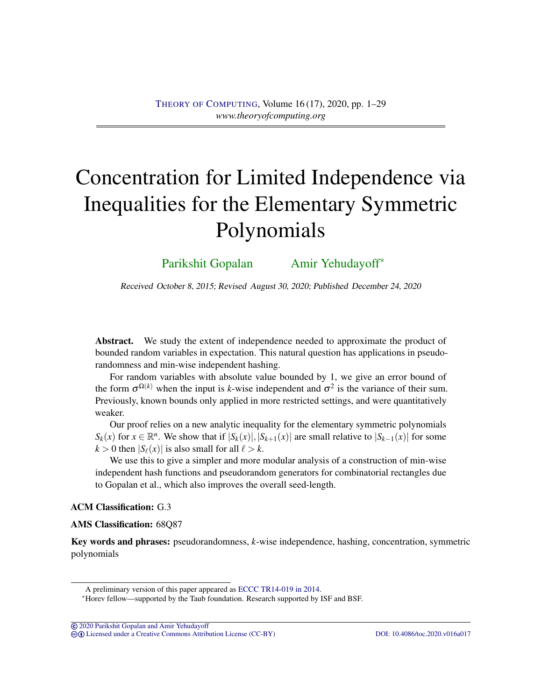# Concentration for Limited Independence via Inequalities for the Elementary Symmetric Polynomials

[Parikshit Gopalan](#page-27-0) [Amir Yehudayoff](#page-28-0)<sup>\*</sup>

Received October 8, 2015; Revised August 30, 2020; Published December 24, 2020

Abstract. We study the extent of independence needed to approximate the product of bounded random variables in expectation. This natural question has applications in pseudorandomness and min-wise independent hashing.

For random variables with absolute value bounded by 1, we give an error bound of the form  $\sigma^{\Omega(k)}$  when the input is *k*-wise independent and  $\sigma^2$  is the variance of their sum. Previously, known bounds only applied in more restricted settings, and were quantitatively weaker.

Our proof relies on a new analytic inequality for the elementary symmetric polynomials  $S_k(x)$  for  $x \in \mathbb{R}^n$ . We show that if  $|S_k(x)|, |S_{k+1}(x)|$  are small relative to  $|S_{k-1}(x)|$  for some  $k > 0$  then  $|S_{\ell}(x)|$  is also small for all  $\ell > k$ .

We use this to give a simpler and more modular analysis of a construction of min-wise independent hash functions and pseudorandom generators for combinatorial rectangles due to Gopalan et al., which also improves the overall seed-length.

## ACM Classification: G.3

AMS Classification: 68Q87

Key words and phrases: pseudorandomness, *k*-wise independence, hashing, concentration, symmetric polynomials

© [2020 Parikshit Gopalan and Amir Yehudayoff](http://theoryofcomputing.org/copyright2009.html)

cb [Licensed under a Creative Commons Attribution License \(CC-BY\)](http://creativecommons.org/licenses/by/3.0/) [DOI: 10.4086/toc.2020.v016a017](http://dx.doi.org/10.4086/toc.2020.v016a017)

A preliminary version of this paper appeared as [ECCC TR14-019 in 2014.](https://eccc.weizmann.ac.il/report/2014/019/)

<sup>∗</sup>Horev fellow—supported by the Taub foundation. Research supported by ISF and BSF.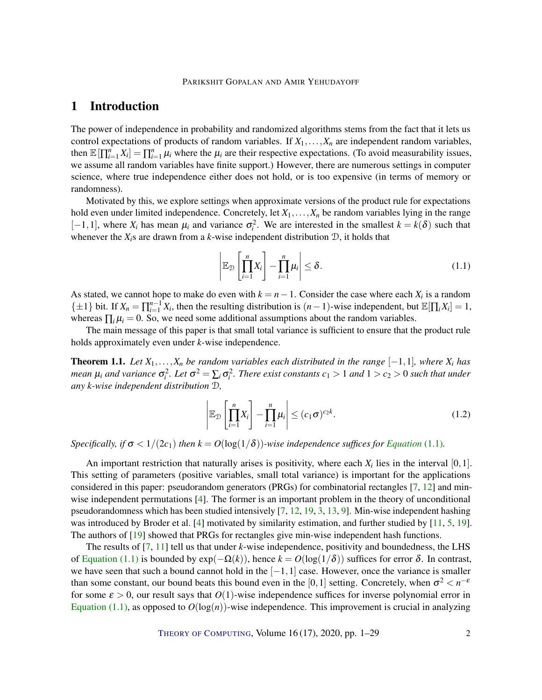## <span id="page-1-2"></span>1 Introduction

The power of independence in probability and randomized algorithms stems from the fact that it lets us control expectations of products of random variables. If  $X_1, \ldots, X_n$  are independent random variables, then  $\mathbb{E}[\prod_{i=1}^n X_i] = \prod_{i=1}^n \mu_i$  where the  $\mu_i$  are their respective expectations. (To avoid measurability issues, we assume all random variables have finite support.) However, there are numerous settings in computer science, where true independence either does not hold, or is too expensive (in terms of memory or randomness).

Motivated by this, we explore settings when approximate versions of the product rule for expectations hold even under limited independence. Concretely, let  $X_1, \ldots, X_n$  be random variables lying in the range  $[-1, 1]$ , where  $X_i$  has mean  $\mu_i$  and variance  $\sigma_i^2$ . We are interested in the smallest  $k = k(\delta)$  such that whenever the  $X_i$ s are drawn from a *k*-wise independent distribution  $D$ , it holds that

<span id="page-1-0"></span>
$$
\left| \mathbb{E}_{\mathcal{D}} \left[ \prod_{i=1}^{n} X_i \right] - \prod_{i=1}^{n} \mu_i \right| \leq \delta. \tag{1.1}
$$

As stated, we cannot hope to make do even with  $k = n - 1$ . Consider the case where each  $X_i$  is a random  $\{\pm 1\}$  bit. If  $X_n = \prod_{i=1}^{n-1} X_i$ , then the resulting distribution is  $(n-1)$ -wise independent, but  $\mathbb{E}[\prod_i X_i] = 1$ , whereas  $\prod_i \mu_i = 0$ . So, we need some additional assumptions about the random variables.

The main message of this paper is that small total variance is sufficient to ensure that the product rule holds approximately even under *k*-wise independence.

<span id="page-1-1"></span>**Theorem 1.1.** Let  $X_1, \ldots, X_n$  be random variables each distributed in the range  $[-1,1]$ *, where*  $X_i$  has *mean*  $\mu_i$  *and variance*  $\sigma_i^2$ *. Let*  $\sigma^2 = \sum_i \sigma_i^2$ *. There exist constants*  $c_1 > 1$  *and*  $1 > c_2 > 0$  *such that under any k-wise independent distribution* D*,*

$$
\left| \mathbb{E}_{\mathcal{D}} \left[ \prod_{i=1}^{n} X_i \right] - \prod_{i=1}^{n} \mu_i \right| \le (c_1 \sigma)^{c_2 k}.
$$
 (1.2)

*Specifically, if*  $\sigma < 1/(2c_1)$  *then*  $k = O(\log(1/\delta))$ *-wise independence suffices for [Equation](#page-1-0)* [\(1.1\)](#page-1-0)*.* 

An important restriction that naturally arises is positivity, where each  $X_i$  lies in the interval  $[0,1]$ . This setting of parameters (positive variables, small total variance) is important for the applications considered in this paper: pseudorandom generators (PRGs) for combinatorial rectangles [\[7,](#page-26-0) [12\]](#page-27-1) and minwise independent permutations [\[4\]](#page-26-1). The former is an important problem in the theory of unconditional pseudorandomness which has been studied intensively [\[7,](#page-26-0) [12,](#page-27-1) [19,](#page-27-2) [3,](#page-26-2) [13,](#page-27-3) [9\]](#page-26-3). Min-wise independent hashing was introduced by Broder et al. [\[4\]](#page-26-1) motivated by similarity estimation, and further studied by [\[11,](#page-26-4) [5,](#page-26-5) [19\]](#page-27-2). The authors of [\[19\]](#page-27-2) showed that PRGs for rectangles give min-wise independent hash functions.

The results of [\[7,](#page-26-0) [11\]](#page-26-4) tell us that under *k*-wise independence, positivity and boundedness, the LHS of [Equation](#page-1-0) [\(1.1\)](#page-1-0) is bounded by exp(−Ω(*k*)), hence *k* = *O*(log(1/δ)) suffices for error δ. In contrast, we have seen that such a bound cannot hold in the  $[-1,1]$  case. However, once the variance is smaller than some constant, our bound beats this bound even in the [0,1] setting. Concretely, when  $\sigma^2 < n^{-\epsilon}$ for some  $\varepsilon > 0$ , our result says that  $O(1)$ -wise independence suffices for inverse polynomial error in [Equation](#page-1-0) [\(1.1\)](#page-1-0), as opposed to  $O(log(n))$ -wise independence. This improvement is crucial in analyzing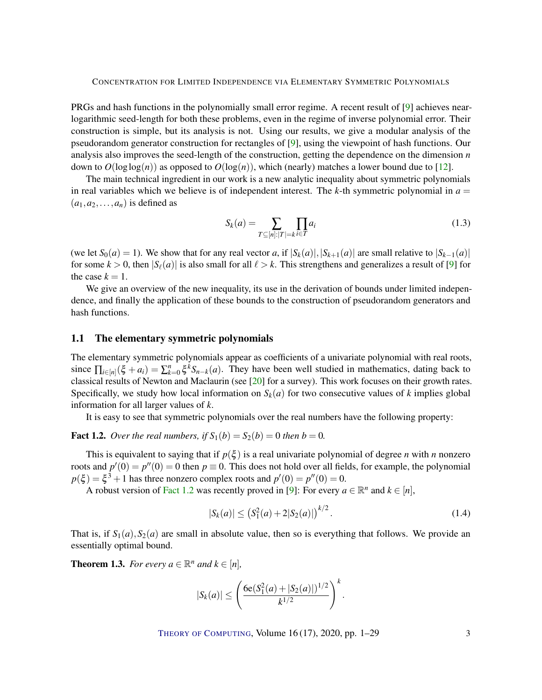<span id="page-2-2"></span>PRGs and hash functions in the polynomially small error regime. A recent result of [\[9\]](#page-26-3) achieves nearlogarithmic seed-length for both these problems, even in the regime of inverse polynomial error. Their construction is simple, but its analysis is not. Using our results, we give a modular analysis of the pseudorandom generator construction for rectangles of [\[9\]](#page-26-3), using the viewpoint of hash functions. Our analysis also improves the seed-length of the construction, getting the dependence on the dimension *n* down to  $O(\log \log(n))$  as opposed to  $O(\log(n))$ , which (nearly) matches a lower bound due to [\[12\]](#page-27-1).

The main technical ingredient in our work is a new analytic inequality about symmetric polynomials in real variables which we believe is of independent interest. The *k*-th symmetric polynomial in  $a =$  $(a_1, a_2, \ldots, a_n)$  is defined as

$$
S_k(a) = \sum_{T \subseteq [n]: |T| = k} \prod_{i \in T} a_i
$$
\n(1.3)

(we let  $S_0(a) = 1$ ). We show that for any real vector *a*, if  $|S_k(a)|, |S_{k+1}(a)|$  are small relative to  $|S_{k-1}(a)|$ for some  $k > 0$ , then  $|S_{\ell}(a)|$  is also small for all  $\ell > k$ . This strengthens and generalizes a result of [\[9\]](#page-26-3) for the case  $k = 1$ .

We give an overview of the new inequality, its use in the derivation of bounds under limited independence, and finally the application of these bounds to the construction of pseudorandom generators and hash functions.

## 1.1 The elementary symmetric polynomials

The elementary symmetric polynomials appear as coefficients of a univariate polynomial with real roots, since  $\prod_{i\in[n]}(\xi + a_i) = \sum_{k=0}^n \xi^k S_{n-k}(a)$ . They have been well studied in mathematics, dating back to classical results of Newton and Maclaurin (see [\[20\]](#page-27-4) for a survey). This work focuses on their growth rates. Specifically, we study how local information on  $S_k(a)$  for two consecutive values of *k* implies global information for all larger values of *k*.

It is easy to see that symmetric polynomials over the real numbers have the following property:

<span id="page-2-0"></span>**Fact 1.2.** *Over the real numbers, if*  $S_1(b) = S_2(b) = 0$  *then*  $b = 0$ *.* 

This is equivalent to saying that if  $p(\xi)$  is a real univariate polynomial of degree *n* with *n* nonzero roots and  $p'(0) = p''(0) = 0$  then  $p \equiv 0$ . This does not hold over all fields, for example, the polynomial  $p(\xi) = \xi^3 + 1$  has three nonzero complex roots and  $p'(0) = p''(0) = 0$ .

A robust version of [Fact](#page-2-0) [1.2](#page-2-0) was recently proved in [\[9\]](#page-26-3): For every  $a \in \mathbb{R}^n$  and  $k \in [n]$ ,

$$
|S_k(a)| \le (S_1^2(a) + 2|S_2(a)|)^{k/2}.
$$
\n(1.4)

That is, if  $S_1(a)$ ,  $S_2(a)$  are small in absolute value, then so is everything that follows. We provide an essentially optimal bound.

<span id="page-2-1"></span>**Theorem 1.3.** *For every*  $a \in \mathbb{R}^n$  *and*  $k \in [n]$ *,* 

$$
|S_k(a)| \leq \left(\frac{6e(S_1^2(a) + |S_2(a)|)^{1/2}}{k^{1/2}}\right)^k.
$$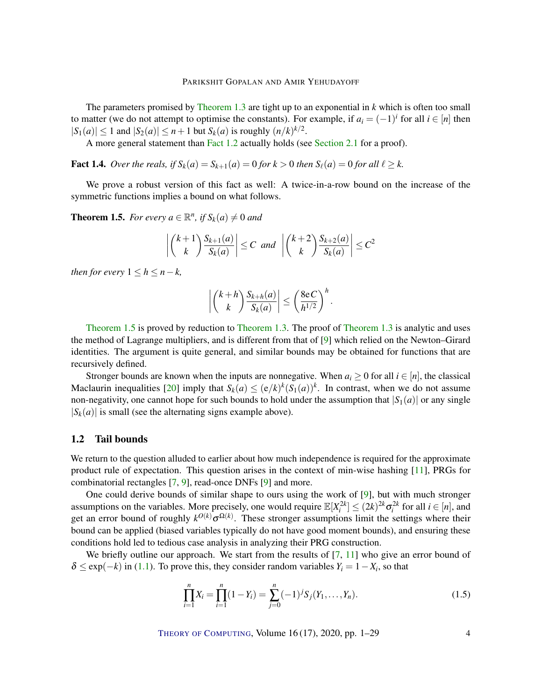<span id="page-3-2"></span>The parameters promised by [Theorem](#page-2-1) [1.3](#page-2-1) are tight up to an exponential in *k* which is often too small to matter (we do not attempt to optimise the constants). For example, if  $a_i = (-1)^i$  for all  $i \in [n]$  then  $|S_1(a)| \le 1$  and  $|S_2(a)| \le n+1$  but  $S_k(a)$  is roughly  $(n/k)^{k/2}$ .

A more general statement than [Fact](#page-2-0) [1.2](#page-2-0) actually holds (see [Section](#page-11-0) [2.1](#page-11-0) for a proof).

<span id="page-3-1"></span>**Fact 1.4.** *Over the reals, if*  $S_k(a) = S_{k+1}(a) = 0$  *for*  $k > 0$  *then*  $S_\ell(a) = 0$  *for all*  $\ell \geq k$ .

We prove a robust version of this fact as well: A twice-in-a-row bound on the increase of the symmetric functions implies a bound on what follows.

<span id="page-3-0"></span>**Theorem 1.5.** *For every*  $a \in \mathbb{R}^n$ *, if*  $S_k(a) \neq 0$  *and* 

$$
\left| \binom{k+1}{k} \frac{S_{k+1}(a)}{S_k(a)} \right| \le C \text{ and } \left| \binom{k+2}{k} \frac{S_{k+2}(a)}{S_k(a)} \right| \le C^2
$$

*then for every*  $1 \leq h \leq n-k$ ,

$$
\left| \binom{k+h}{k} \frac{S_{k+h}(a)}{S_k(a)} \right| \leq \left( \frac{8eC}{h^{1/2}} \right)^h.
$$

[Theorem](#page-3-0) [1.5](#page-3-0) is proved by reduction to [Theorem](#page-2-1) [1.3.](#page-2-1) The proof of [Theorem](#page-2-1) [1.3](#page-2-1) is analytic and uses the method of Lagrange multipliers, and is different from that of [\[9\]](#page-26-3) which relied on the Newton–Girard identities. The argument is quite general, and similar bounds may be obtained for functions that are recursively defined.

Stronger bounds are known when the inputs are nonnegative. When  $a_i \geq 0$  for all  $i \in [n]$ , the classical Maclaurin inequalities [\[20\]](#page-27-4) imply that  $S_k(a) \leq (e/k)^k (S_1(a))^k$ . In contrast, when we do not assume non-negativity, one cannot hope for such bounds to hold under the assumption that  $|S_1(a)|$  or any single  $|S_k(a)|$  is small (see the alternating signs example above).

## 1.2 Tail bounds

We return to the question alluded to earlier about how much independence is required for the approximate product rule of expectation. This question arises in the context of min-wise hashing [\[11\]](#page-26-4), PRGs for combinatorial rectangles [\[7,](#page-26-0) [9\]](#page-26-3), read-once DNFs [\[9\]](#page-26-3) and more.

One could derive bounds of similar shape to ours using the work of [\[9\]](#page-26-3), but with much stronger assumptions on the variables. More precisely, one would require  $\mathbb{E}[X_i^{2k}] \leq (2k)^{2k} \sigma_i^{2k}$  for all  $i \in [n]$ , and get an error bound of roughly  $k^{O(k)}\sigma^{\Omega(k)}$ . These stronger assumptions limit the settings where their bound can be applied (biased variables typically do not have good moment bounds), and ensuring these conditions hold led to tedious case analysis in analyzing their PRG construction.

We briefly outline our approach. We start from the results of  $[7, 11]$  $[7, 11]$  $[7, 11]$  who give an error bound of  $\delta \leq \exp(-k)$  in [\(1.1\)](#page-1-0). To prove this, they consider random variables  $Y_i = 1 - X_i$ , so that

$$
\prod_{i=1}^{n} X_i = \prod_{i=1}^{n} (1 - Y_i) = \sum_{j=0}^{n} (-1)^j S_j(Y_1, \dots, Y_n).
$$
\n(1.5)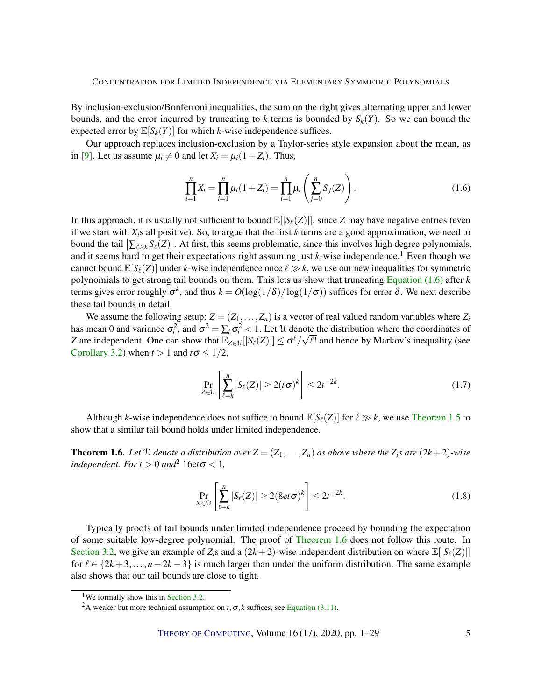<span id="page-4-2"></span>By inclusion-exclusion/Bonferroni inequalities, the sum on the right gives alternating upper and lower bounds, and the error incurred by truncating to *k* terms is bounded by  $S_k(Y)$ . So we can bound the expected error by  $\mathbb{E}[S_k(Y)]$  for which *k*-wise independence suffices.

Our approach replaces inclusion-exclusion by a Taylor-series style expansion about the mean, as in [\[9\]](#page-26-3). Let us assume  $\mu_i \neq 0$  and let  $X_i = \mu_i(1+Z_i)$ . Thus,

<span id="page-4-0"></span>
$$
\prod_{i=1}^{n} X_i = \prod_{i=1}^{n} \mu_i (1 + Z_i) = \prod_{i=1}^{n} \mu_i \left( \sum_{j=0}^{n} S_j (Z) \right).
$$
 (1.6)

In this approach, it is usually not sufficient to bound  $\mathbb{E}[|S_k(Z)|]$ , since *Z* may have negative entries (even if we start with *Xi*s all positive). So, to argue that the first *k* terms are a good approximation, we need to bound the tail  $\left| \sum_{\ell \geq k} S_{\ell}(Z) \right|$ . At first, this seems problematic, since this involves high degree polynomials, and it seems hard to get their expectations right assuming just  $k$ -wise independence.<sup>1</sup> Even though we cannot bound  $\mathbb{E}[S_{\ell}(Z)]$  under *k*-wise independence once  $\ell \gg k$ , we use our new inequalities for symmetric polynomials to get strong tail bounds on them. This lets us show that truncating [Equation](#page-4-0) [\(1.6\)](#page-4-0) after *k* terms gives error roughly  $\sigma^k$ , and thus  $k = O(\log(1/\delta)/\log(1/\sigma))$  suffices for error δ. We next describe these tail bounds in detail.

We assume the following setup:  $Z = (Z_1, \ldots, Z_n)$  is a vector of real valued random variables where  $Z_i$ has mean 0 and variance  $\sigma_i^2$ , and  $\sigma^2 = \sum_i \sigma_i^2 < 1$ . Let U denote the distribution where the coordinates of *Z* are independent. One can show that  $\mathbb{E}_{Z \in \mathcal{U}}[|S_{\ell}(Z)|] \le \sigma^{\ell}/\sqrt{\ell!}$  and hence by Markov's inequality (see [Corollary](#page-12-0) [3.2\)](#page-12-0) when  $t > 1$  and  $t\sigma \leq 1/2$ ,

$$
\Pr_{Z \in \mathcal{U}} \left[ \sum_{\ell=k}^{n} |S_{\ell}(Z)| \ge 2(t\sigma)^{k} \right] \le 2t^{-2k}.
$$
\n(1.7)

Although *k*-wise independence does not suffice to bound  $\mathbb{E}[S_{\ell}(Z)]$  for  $\ell \gg k$ , we use [Theorem](#page-3-0) [1.5](#page-3-0) to show that a similar tail bound holds under limited independence.

<span id="page-4-1"></span>**Theorem 1.6.** Let  $D$  denote a distribution over  $Z = (Z_1, \ldots, Z_n)$  as above where the  $Z_i$ *s* are  $(2k+2)$ *-wise independent.* For  $t > 0$  and<sup>2</sup> 16et  $\sigma < 1$ ,

$$
\Pr_{X \in \mathcal{D}} \left[ \sum_{\ell=k}^{n} |S_{\ell}(Z)| \ge 2(8 \text{et } \sigma)^{k} \right] \le 2t^{-2k}.
$$
\n(1.8)

Typically proofs of tail bounds under limited independence proceed by bounding the expectation of some suitable low-degree polynomial. The proof of [Theorem](#page-4-1) [1.6](#page-4-1) does not follow this route. In [Section](#page-15-0) [3.2,](#page-15-0) we give an example of  $Z_i$ <sup>s</sup> and a  $(2k+2)$ -wise independent distribution on where  $\mathbb{E}[|S_{\ell}(Z)|]$ for  $\ell \in \{2k+3,\ldots,n-2k-3\}$  is much larger than under the uniform distribution. The same example also shows that our tail bounds are close to tight.

<sup>&</sup>lt;sup>1</sup>We formally show this in [Section](#page-15-0) [3.2.](#page-15-0)

<sup>&</sup>lt;sup>2</sup>A weaker but more technical assumption on  $t, \sigma, k$  suffices, see [Equation \(3.11\).](#page-15-1)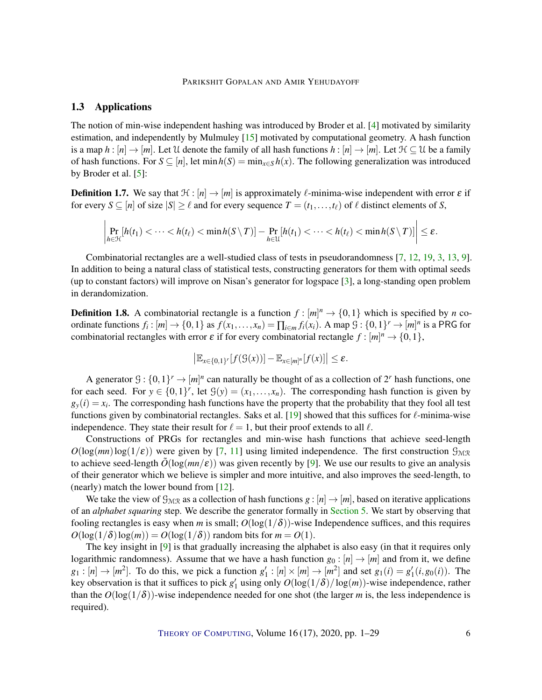#### PARIKSHIT GOPALAN AND AMIR YEHUDAYOFF

## <span id="page-5-0"></span>1.3 Applications

The notion of min-wise independent hashing was introduced by Broder et al. [\[4\]](#page-26-1) motivated by similarity estimation, and independently by Mulmuley [\[15\]](#page-27-5) motivated by computational geometry. A hash function is a map  $h : [n] \to [m]$ . Let U denote the family of all hash functions  $h : [n] \to [m]$ . Let  $H \subseteq U$  be a family of hash functions. For  $S \subseteq [n]$ , let  $\min h(S) = \min_{x \in S} h(x)$ . The following generalization was introduced by Broder et al. [\[5\]](#page-26-5):

**Definition 1.7.** We say that  $\mathcal{H} : [n] \to [m]$  is approximately  $\ell$ -minima-wise independent with error  $\epsilon$  if for every  $S \subseteq [n]$  of size  $|S| \ge \ell$  and for every sequence  $T = (t_1, \ldots, t_\ell)$  of  $\ell$  distinct elements of *S*,

$$
\left|\Pr_{h\in\mathcal{H}}[h(t_1)<\cdots
$$

Combinatorial rectangles are a well-studied class of tests in pseudorandomness [\[7,](#page-26-0) [12,](#page-27-1) [19,](#page-27-2) [3,](#page-26-2) [13,](#page-27-3) [9\]](#page-26-3). In addition to being a natural class of statistical tests, constructing generators for them with optimal seeds (up to constant factors) will improve on Nisan's generator for logspace [\[3\]](#page-26-2), a long-standing open problem in derandomization.

**Definition 1.8.** A combinatorial rectangle is a function  $f : [m]^n \to \{0,1\}$  which is specified by *n* coordinate functions  $f_i: [m] \to \{0, 1\}$  as  $f(x_1, \ldots, x_n) = \prod_{i \in m} f_i(x_i)$ . A map  $\mathcal{G}: \{0, 1\}^r \to [m]^n$  is a PRG for combinatorial rectangles with error  $\varepsilon$  if for every combinatorial rectangle  $f : [m]^n \to \{0, 1\}$ ,

$$
\left|\mathbb{E}_{x\in\{0,1\}^r}[f(\mathcal{G}(x))] - \mathbb{E}_{x\in[m]^n}[f(x)]\right| \leq \varepsilon.
$$

A generator  $\mathcal{G}: \{0,1\}^r \to [m]^n$  can naturally be thought of as a collection of  $2^r$  hash functions, one for each seed. For  $y \in \{0,1\}^r$ , let  $\mathcal{G}(y) = (x_1,\ldots,x_n)$ . The corresponding hash function is given by  $g_y(i) = x_i$ . The corresponding hash functions have the property that the probability that they fool all test functions given by combinatorial rectangles. Saks et al. [\[19\]](#page-27-2) showed that this suffices for  $\ell$ -minima-wise independence. They state their result for  $\ell = 1$ , but their proof extends to all  $\ell$ .

Constructions of PRGs for rectangles and min-wise hash functions that achieve seed-length  $O(\log(mn)\log(1/\epsilon))$  were given by [\[7,](#page-26-0) [11\]](#page-26-4) using limited independence. The first construction  $\mathcal{G}_{M/R}$ to achieve seed-length  $\tilde{O}(\log(mn/\epsilon))$  was given recently by [\[9\]](#page-26-3). We use our results to give an analysis of their generator which we believe is simpler and more intuitive, and also improves the seed-length, to (nearly) match the lower bound from [\[12\]](#page-27-1).

We take the view of  $\mathcal{G}_{MTR}$  as a collection of hash functions  $g : [n] \to [m]$ , based on iterative applications of an *alphabet squaring* step. We describe the generator formally in [Section](#page-18-0) [5.](#page-18-0) We start by observing that fooling rectangles is easy when *m* is small;  $O(\log(1/\delta))$ -wise Independence suffices, and this requires  $O(\log(1/\delta)\log(m)) = O(\log(1/\delta))$  random bits for  $m = O(1)$ .

The key insight in [\[9\]](#page-26-3) is that gradually increasing the alphabet is also easy (in that it requires only logarithmic randomness). Assume that we have a hash function  $g_0 : [n] \to [m]$  and from it, we define  $g_1: [n] \to [m^2]$ . To do this, we pick a function  $g'_1: [n] \times [m] \to [m^2]$  and set  $g_1(i) = g'_1(i, g_0(i))$ . The key observation is that it suffices to pick  $g'_1$  using only  $O(\log(1/\delta)/\log(m))$ -wise independence, rather than the  $O(\log(1/\delta))$ -wise independence needed for one shot (the larger *m* is, the less independence is required).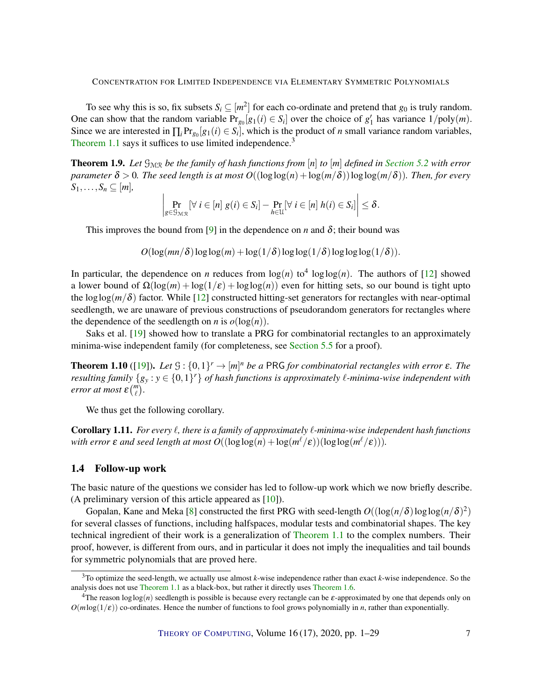<span id="page-6-2"></span>To see why this is so, fix subsets  $S_i \subseteq [m^2]$  for each co-ordinate and pretend that  $g_0$  is truly random. One can show that the random variable  $Pr_{g_0}[g_1(i) \in S_i]$  over the choice of  $g'_1$  has variance  $1/poly(m)$ . Since we are interested in  $\prod_i Pr_{g_0}[g_1(i) \in S_i]$ , which is the product of *n* small variance random variables, [Theorem](#page-1-1) [1.1](#page-1-1) says it suffices to use limited independence.<sup>3</sup>

<span id="page-6-0"></span>**Theorem 1.9.** Let  $\mathcal{G}_{MR}$  be the family of hash functions from [n] to [m] defined in [Section](#page-19-0) [5.2](#page-19-0) with error *parameter*  $\delta > 0$ *. The seed length is at most*  $O((\log \log(n) + \log(m/\delta))\log \log(m/\delta))$ *. Then, for every*  $S_1, \ldots, S_n \subseteq [m],$ 

$$
\left|\Pr_{g\in\mathcal{G}_{\mathcal{MR}}}[\forall i\in[n] \ g(i)\in S_i]-\Pr_{h\in\mathcal{U}}[\forall i\in[n] \ h(i)\in S_i]\right|\leq\delta.
$$

This improves the bound from [\[9\]](#page-26-3) in the dependence on *n* and  $\delta$ ; their bound was

 $O(\log(mn/\delta)\log\log(m) + \log(1/\delta)\log\log(1/\delta)\log\log\log(1/\delta)).$ 

In particular, the dependence on *n* reduces from  $log(n)$  to<sup>4</sup>  $log log(n)$ . The authors of [\[12\]](#page-27-1) showed a lower bound of  $\Omega(\log(m) + \log(1/\varepsilon) + \log(\log(n)))$  even for hitting sets, so our bound is tight upto the  $\log \log(m/\delta)$  factor. While [\[12\]](#page-27-1) constructed hitting-set generators for rectangles with near-optimal seedlength, we are unaware of previous constructions of pseudorandom generators for rectangles where the dependence of the seedlength on *n* is  $o(\log(n))$ .

Saks et al. [\[19\]](#page-27-2) showed how to translate a PRG for combinatorial rectangles to an approximately minima-wise independent family (for completeness, see [Section](#page-25-0) [5.5](#page-25-0) for a proof).

<span id="page-6-1"></span>**Theorem 1.10** ([\[19\]](#page-27-2)). Let  $\mathcal{G}: \{0,1\}^r \to [m]^n$  be a PRG for combinatorial rectangles with error  $\varepsilon$ . The *resulting family*  $\{g_y : y \in \{0,1\}^r\}$  *of hash functions is approximately*  $\ell$ *-minima-wise independent with error at most*  $\varepsilon \binom{m}{\ell}$ .

We thus get the following corollary.

**Corollary 1.11.** *For every*  $\ell$ , *there is a family of approximately*  $\ell$ -minima-wise independent hash functions with error  $\varepsilon$  and seed length at most  $O((\log \log(n) + \log(m^\ell/\varepsilon))(\log \log(m^\ell/\varepsilon)))$ .

## 1.4 Follow-up work

The basic nature of the questions we consider has led to follow-up work which we now briefly describe. (A preliminary version of this article appeared as [\[10\]](#page-26-6)).

Gopalan, Kane and Meka [\[8\]](#page-26-7) constructed the first PRG with seed-length  $O((\log(n/\delta)\log\log(n/\delta)^2)$ for several classes of functions, including halfspaces, modular tests and combinatorial shapes. The key technical ingredient of their work is a generalization of [Theorem](#page-1-1) [1.1](#page-1-1) to the complex numbers. Their proof, however, is different from ours, and in particular it does not imply the inequalities and tail bounds for symmetric polynomials that are proved here.

<sup>3</sup>To optimize the seed-length, we actually use almost *k*-wise independence rather than exact *k*-wise independence. So the analysis does not use [Theorem](#page-1-1) [1.1](#page-1-1) as a black-box, but rather it directly uses [Theorem](#page-4-1) [1.6.](#page-4-1)

<sup>&</sup>lt;sup>4</sup>The reason  $\log \log(n)$  seedlength is possible is because every rectangle can be  $\varepsilon$ -approximated by one that depends only on  $O(m \log(1/\varepsilon))$  co-ordinates. Hence the number of functions to fool grows polynomially in *n*, rather than exponentially.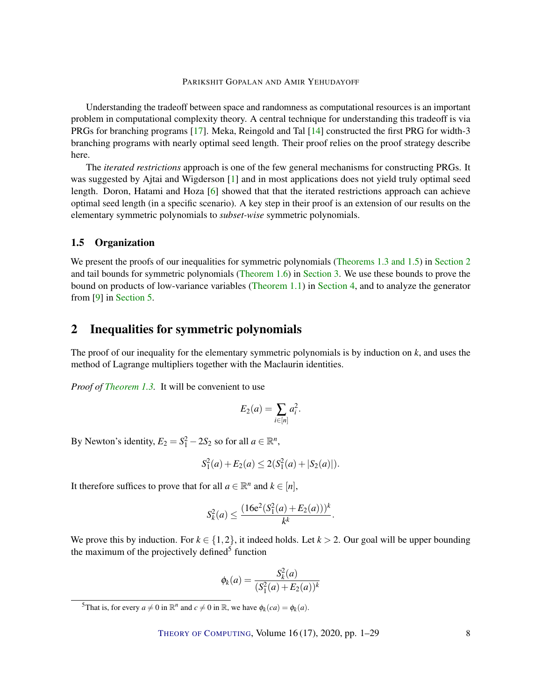#### PARIKSHIT GOPALAN AND AMIR YEHUDAYOFF

<span id="page-7-1"></span>Understanding the tradeoff between space and randomness as computational resources is an important problem in computational complexity theory. A central technique for understanding this tradeoff is via PRGs for branching programs [\[17\]](#page-27-6). Meka, Reingold and Tal [\[14\]](#page-27-7) constructed the first PRG for width-3 branching programs with nearly optimal seed length. Their proof relies on the proof strategy describe here.

The *iterated restrictions* approach is one of the few general mechanisms for constructing PRGs. It was suggested by Ajtai and Wigderson [\[1\]](#page-26-8) and in most applications does not yield truly optimal seed length. Doron, Hatami and Hoza [\[6\]](#page-26-9) showed that that the iterated restrictions approach can achieve optimal seed length (in a specific scenario). A key step in their proof is an extension of our results on the elementary symmetric polynomials to *subset-wise* symmetric polynomials.

## 1.5 Organization

We present the proofs of our inequalities for symmetric polynomials [\(Theorems](#page-2-1) [1.3](#page-2-1) [and](#page-3-0) [1.5\)](#page-3-0) in [Section](#page-7-0) [2](#page-7-0) and tail bounds for symmetric polynomials [\(Theorem](#page-4-1) [1.6\)](#page-4-1) in [Section](#page-12-1) [3.](#page-12-1) We use these bounds to prove the bound on products of low-variance variables [\(Theorem](#page-1-1) [1.1\)](#page-1-1) in [Section](#page-16-0) [4,](#page-16-0) and to analyze the generator from [\[9\]](#page-26-3) in [Section](#page-18-0) [5.](#page-18-0)

## <span id="page-7-0"></span>2 Inequalities for symmetric polynomials

The proof of our inequality for the elementary symmetric polynomials is by induction on *k*, and uses the method of Lagrange multipliers together with the Maclaurin identities.

*Proof of [Theorem](#page-2-1) [1.3.](#page-2-1)* It will be convenient to use

$$
E_2(a) = \sum_{i \in [n]} a_i^2.
$$

By Newton's identity,  $E_2 = S_1^2 - 2S_2$  so for all  $a \in \mathbb{R}^n$ ,

$$
S_1^2(a) + E_2(a) \le 2(S_1^2(a) + |S_2(a)|).
$$

It therefore suffices to prove that for all  $a \in \mathbb{R}^n$  and  $k \in [n]$ ,

$$
S_k^2(a) \le \frac{(16e^2(S_1^2(a) + E_2(a)))^k}{k^k}.
$$

We prove this by induction. For  $k \in \{1,2\}$ , it indeed holds. Let  $k > 2$ . Our goal will be upper bounding the maximum of the projectively defined<sup>5</sup> function

$$
\phi_k(a) = \frac{S_k^2(a)}{(S_1^2(a) + E_2(a))^k}
$$

<sup>&</sup>lt;sup>5</sup>That is, for every  $a \neq 0$  in  $\mathbb{R}^n$  and  $c \neq 0$  in  $\mathbb{R}$ , we have  $\phi_k(ca) = \phi_k(a)$ .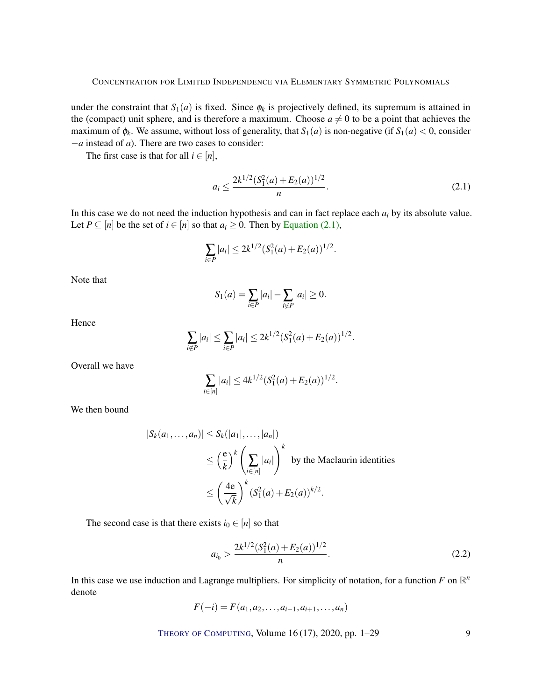under the constraint that  $S_1(a)$  is fixed. Since  $\phi_k$  is projectively defined, its supremum is attained in the (compact) unit sphere, and is therefore a maximum. Choose  $a \neq 0$  to be a point that achieves the maximum of  $\phi_k$ . We assume, without loss of generality, that  $S_1(a)$  is non-negative (if  $S_1(a) < 0$ , consider −*a* instead of *a*). There are two cases to consider:

The first case is that for all  $i \in [n]$ ,

<span id="page-8-0"></span>
$$
a_i \le \frac{2k^{1/2}(S_1^2(a) + E_2(a))^{1/2}}{n}.
$$
\n(2.1)

In this case we do not need the induction hypothesis and can in fact replace each *a<sup>i</sup>* by its absolute value. Let  $P \subseteq [n]$  be the set of  $i \in [n]$  so that  $a_i \ge 0$ . Then by [Equation \(2.1\),](#page-8-0)

$$
\sum_{i \in P} |a_i| \le 2k^{1/2} (S_1^2(a) + E_2(a))^{1/2}.
$$

Note that

$$
S_1(a) = \sum_{i \in P} |a_i| - \sum_{i \notin P} |a_i| \ge 0.
$$

Hence

$$
\sum_{i \notin P} |a_i| \leq \sum_{i \in P} |a_i| \leq 2k^{1/2} (S_1^2(a) + E_2(a))^{1/2}.
$$

Overall we have

$$
\sum_{i \in [n]} |a_i| \le 4k^{1/2} (S_1^2(a) + E_2(a))^{1/2}.
$$

We then bound

$$
|S_k(a_1, ..., a_n)| \le S_k(|a_1|, ..., |a_n|)
$$
  
\n
$$
\le \left(\frac{e}{k}\right)^k \left(\sum_{i \in [n]} |a_i|\right)^k \text{ by the Maclaurin identities}
$$
  
\n
$$
\le \left(\frac{4e}{\sqrt{k}}\right)^k (S_1^2(a) + E_2(a))^{k/2}.
$$

The second case is that there exists  $i_0 \in [n]$  so that

<span id="page-8-1"></span>
$$
a_{i_0} > \frac{2k^{1/2}(S_1^2(a) + E_2(a))^{1/2}}{n}.
$$
\n(2.2)

In this case we use induction and Lagrange multipliers. For simplicity of notation, for a function  $F$  on  $\mathbb{R}^n$ denote

$$
F(-i) = F(a_1, a_2, \dots, a_{i-1}, a_{i+1}, \dots, a_n)
$$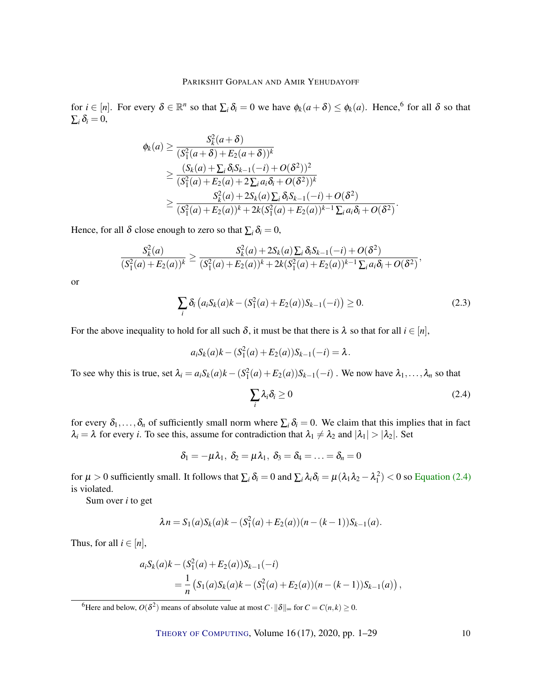for  $i \in [n]$ . For every  $\delta \in \mathbb{R}^n$  so that  $\sum_i \delta_i = 0$  we have  $\phi_k(a+\delta) \leq \phi_k(a)$ . Hence, <sup>6</sup> for all  $\delta$  so that  $\sum_i \delta_i = 0$ ,

$$
\begin{split} \phi_{k}(a) &\geq \frac{S_{k}^{2}(a+\delta)}{(S_{1}^{2}(a+\delta)+E_{2}(a+\delta))^{k}} \\ &\geq \frac{(S_{k}(a)+\sum_{i}\delta_{i}S_{k-1}(-i)+O(\delta^{2}))^{2}}{(S_{1}^{2}(a)+E_{2}(a)+2\sum_{i}a_{i}\delta_{i}+O(\delta^{2}))^{k}} \\ &\geq \frac{S_{k}^{2}(a)+2S_{k}(a)\sum_{i}\delta_{i}S_{k-1}(-i)+O(\delta^{2})}{(S_{1}^{2}(a)+E_{2}(a))^{k}+2k(S_{1}^{2}(a)+E_{2}(a))^{k-1}\sum_{i}a_{i}\delta_{i}+O(\delta^{2})}.\end{split}
$$

Hence, for all  $\delta$  close enough to zero so that  $\sum_i \delta_i = 0$ ,

$$
\frac{S_k^2(a)}{(S_1^2(a)+E_2(a))^k} \ge \frac{S_k^2(a)+2S_k(a)\sum_i \delta_i S_{k-1}(-i)+O(\delta^2)}{(S_1^2(a)+E_2(a))^k+2k(S_1^2(a)+E_2(a))^{k-1}\sum_i a_i \delta_i+O(\delta^2)},
$$

or

$$
\sum_{i} \delta_{i} (a_{i} S_{k}(a) k - (S_{1}^{2}(a) + E_{2}(a)) S_{k-1}(-i)) \ge 0.
$$
 (2.3)

For the above inequality to hold for all such  $\delta$ , it must be that there is  $\lambda$  so that for all  $i \in [n]$ ,

$$
a_i S_k(a)k - (S_1^2(a) + E_2(a))S_{k-1}(-i) = \lambda.
$$

To see why this is true, set  $\lambda_i = a_i S_k(a)k - (S_1^2(a) + E_2(a))S_{k-1}(-i)$ . We now have  $\lambda_1, \ldots, \lambda_n$  so that

<span id="page-9-0"></span>
$$
\sum_{i} \lambda_i \delta_i \ge 0 \tag{2.4}
$$

for every  $\delta_1,\ldots,\delta_n$  of sufficiently small norm where  $\sum_i \delta_i = 0$ . We claim that this implies that in fact  $\lambda_i = \lambda$  for every *i*. To see this, assume for contradiction that  $\lambda_1 \neq \lambda_2$  and  $|\lambda_1| > |\lambda_2|$ . Set

$$
\delta_1=-\mu\lambda_1,\ \delta_2=\mu\lambda_1,\ \delta_3=\delta_4=\ldots=\delta_n=0
$$

for  $\mu > 0$  sufficiently small. It follows that  $\sum_i \delta_i = 0$  and  $\sum_i \lambda_i \delta_i = \mu(\lambda_1 \lambda_2 - \lambda_1^2) < 0$  so [Equation](#page-9-0) [\(2.4\)](#page-9-0) is violated.

Sum over *i* to get

$$
\lambda n = S_1(a)S_k(a)k - (S_1^2(a) + E_2(a))(n - (k-1))S_{k-1}(a).
$$

Thus, for all  $i \in [n]$ ,

$$
a_i S_k(a)k - (S_1^2(a) + E_2(a))S_{k-1}(-i)
$$
  
=  $\frac{1}{n} (S_1(a)S_k(a)k - (S_1^2(a) + E_2(a))(n - (k-1))S_{k-1}(a)),$ 

<sup>6</sup>Here and below,  $O(\delta^2)$  means of absolute value at most  $C \cdot ||\delta||_{\infty}$  for  $C = C(n, k) \ge 0$ .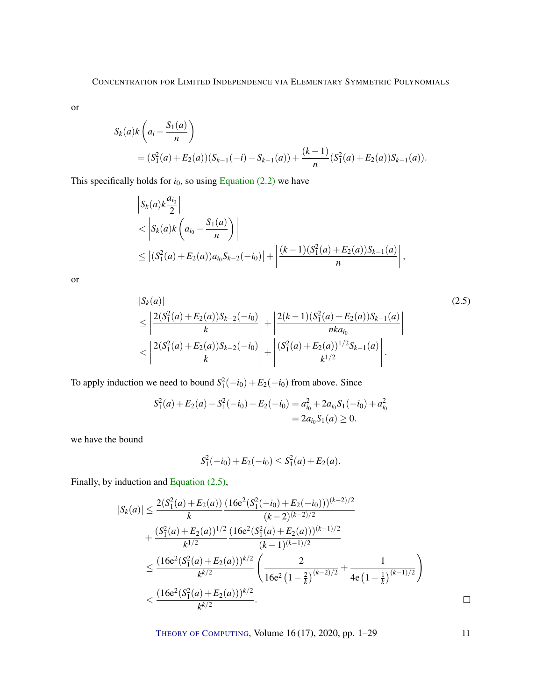or

$$
S_k(a)k\left(a_i - \frac{S_1(a)}{n}\right)
$$
  
=  $(S_1^2(a) + E_2(a))(S_{k-1}(-i) - S_{k-1}(a)) + \frac{(k-1)}{n}(S_1^2(a) + E_2(a))S_{k-1}(a)).$ 

This specifically holds for  $i_0$ , so using [Equation \(2.2\)](#page-8-1) we have

$$
\begin{aligned} & \left| S_k(a)k \frac{a_{i_0}}{2} \right| \\ &< \left| S_k(a)k \left( a_{i_0} - \frac{S_1(a)}{n} \right) \right| \\ &\leq \left| (S_1^2(a) + E_2(a))a_{i_0}S_{k-2}(-i_0) \right| + \left| \frac{(k-1)(S_1^2(a) + E_2(a))S_{k-1}(a)}{n} \right|, \end{aligned}
$$

or

$$
|S_{k}(a)|\n\leq \left|\frac{2(S_{1}^{2}(a)+E_{2}(a))S_{k-2}(-i_{0})}{k}\right| + \left|\frac{2(k-1)(S_{1}^{2}(a)+E_{2}(a))S_{k-1}(a)}{nka_{i_{0}}}\right|
$$
\n
$$
< \left|\frac{2(S_{1}^{2}(a)+E_{2}(a))S_{k-2}(-i_{0})}{k}\right| + \left|\frac{(S_{1}^{2}(a)+E_{2}(a))^{1/2}S_{k-1}(a)}{k^{1/2}}\right|.
$$
\n(2.5)

To apply induction we need to bound  $S_1^2(-i_0) + E_2(-i_0)$  from above. Since

$$
S_1^2(a) + E_2(a) - S_1^2(-i_0) - E_2(-i_0) = a_{i_0}^2 + 2a_{i_0}S_1(-i_0) + a_{i_0}^2
$$
  
=  $2a_{i_0}S_1(a) \ge 0$ .

we have the bound

<span id="page-10-0"></span>
$$
S_1^2(-i_0) + E_2(-i_0) \le S_1^2(a) + E_2(a).
$$

Finally, by induction and [Equation \(2.5\),](#page-10-0)

$$
|S_k(a)| \le \frac{2(S_1^2(a) + E_2(a))}{k} \frac{(16e^2(S_1^2(-i_0) + E_2(-i_0)))^{(k-2)/2}}{(k-2)^{(k-2)/2}} + \frac{(S_1^2(a) + E_2(a))^{1/2}}{k^{1/2}} \frac{(16e^2(S_1^2(a) + E_2(a)))^{(k-1)/2}}{(k-1)^{(k-1)/2}} \n\le \frac{(16e^2(S_1^2(a) + E_2(a)))^{k/2}}{k^{k/2}} \left(\frac{2}{16e^2(1-\frac{2}{k})^{(k-2)/2}} + \frac{1}{4e(1-\frac{1}{k})^{(k-1)/2}}\right) < \frac{(16e^2(S_1^2(a) + E_2(a)))^{k/2}}{k^{k/2}}.
$$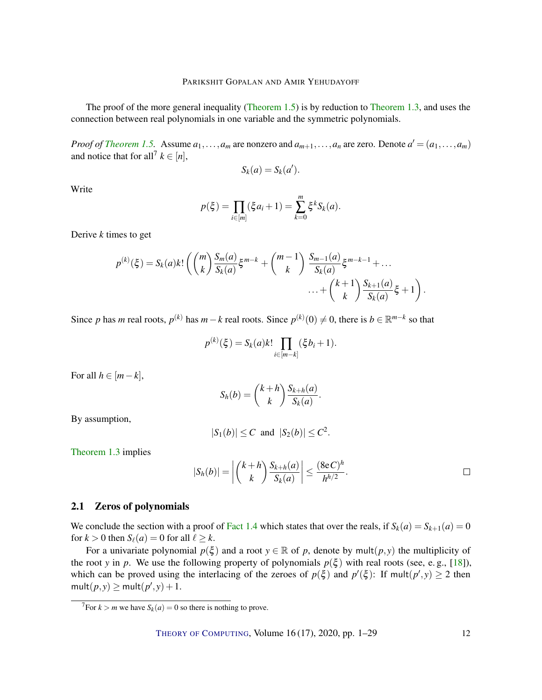<span id="page-11-1"></span>The proof of the more general inequality [\(Theorem](#page-3-0) [1.5\)](#page-3-0) is by reduction to [Theorem](#page-2-1) [1.3,](#page-2-1) and uses the connection between real polynomials in one variable and the symmetric polynomials.

*Proof of [Theorem](#page-3-0) [1.5.](#page-3-0)* Assume  $a_1, \ldots, a_m$  are nonzero and  $a_{m+1}, \ldots, a_n$  are zero. Denote  $a' = (a_1, \ldots, a_m)$ and notice that for all<sup>7</sup>  $k \in [n]$ ,

$$
S_k(a) = S_k(a').
$$

Write

$$
p(\xi) = \prod_{i \in [m]} (\xi a_i + 1) = \sum_{k=0}^{m} \xi^k S_k(a).
$$

Derive *k* times to get

$$
p^{(k)}(\xi) = S_k(a)k! \left( {m \choose k} \frac{S_m(a)}{S_k(a)} \xi^{m-k} + {m-1 \choose k} \frac{S_{m-1}(a)}{S_k(a)} \xi^{m-k-1} + \dots + {k+1 \choose k} \frac{S_{k+1}(a)}{S_k(a)} \xi + 1 \right).
$$

Since *p* has *m* real roots,  $p^{(k)}$  has  $m-k$  real roots. Since  $p^{(k)}(0) \neq 0$ , there is  $b \in \mathbb{R}^{m-k}$  so that

$$
p^{(k)}(\xi) = S_k(a)k! \prod_{i \in [m-k]} (\xi b_i + 1).
$$

For all  $h \in [m-k]$ ,

$$
S_h(b) = {k+h \choose k} \frac{S_{k+h}(a)}{S_k(a)}.
$$

By assumption,

$$
|S_1(b)| \leq C
$$
 and  $|S_2(b)| \leq C^2$ .

[Theorem](#page-2-1) [1.3](#page-2-1) implies

$$
|S_h(b)| = \left| {k+h \choose k} \frac{S_{k+h}(a)}{S_k(a)} \right| \leq \frac{(8eC)^h}{h^{h/2}}.
$$

## <span id="page-11-0"></span>2.1 Zeros of polynomials

We conclude the section with a proof of [Fact](#page-3-1) [1.4](#page-3-1) which states that over the reals, if  $S_k(a) = S_{k+1}(a) = 0$ for  $k > 0$  then  $S_{\ell}(a) = 0$  for all  $\ell \geq k$ .

For a univariate polynomial  $p(\xi)$  and a root  $y \in \mathbb{R}$  of p, denote by mult $(p, y)$  the multiplicity of the root *y* in *p*. We use the following property of polynomials  $p(\xi)$  with real roots (see, e.g., [\[18\]](#page-27-8)), which can be proved using the interlacing of the zeroes of  $p(\xi)$  and  $p'(\xi)$ : If mult $(p', y) \ge 2$  then  $mult(p, y) \geq mult(p', y) + 1.$ 

 $\sqrt[7]{7}$ For  $k > m$  we have  $S_k(a) = 0$  so there is nothing to prove.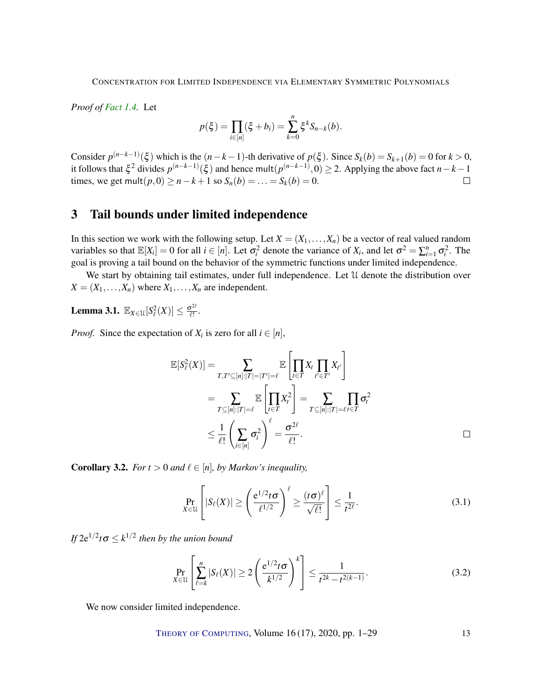*Proof of [Fact](#page-3-1) [1.4.](#page-3-1)* Let

$$
p(\xi) = \prod_{i \in [n]} (\xi + b_i) = \sum_{k=0}^{n} \xi^k S_{n-k}(b).
$$

Consider  $p^{(n-k-1)}(\xi)$  which is the  $(n-k-1)$ -th derivative of  $p(\xi)$ . Since  $S_k(b) = S_{k+1}(b) = 0$  for  $k > 0$ , it follows that  $\xi^2$  divides  $p^{(n-k-1)}(\xi)$  and hence mult $(p^{(n-k-1)},0) \ge 2$ . Applying the above fact  $n-k-1$ times, we get mult(*p*, 0) ≥ *n*−*k* + 1 so  $S_n(b) = ... = S_k(b) = 0$ .  $\Box$ 

# <span id="page-12-1"></span>3 Tail bounds under limited independence

In this section we work with the following setup. Let  $X = (X_1, \ldots, X_n)$  be a vector of real valued random variables so that  $\mathbb{E}[X_i] = 0$  for all  $i \in [n]$ . Let  $\sigma_i^2$  denote the variance of  $X_i$ , and let  $\sigma^2 = \sum_{i=1}^n \sigma_i^2$ . The goal is proving a tail bound on the behavior of the symmetric functions under limited independence.

We start by obtaining tail estimates, under full independence. Let U denote the distribution over  $X = (X_1, \ldots, X_n)$  where  $X_1, \ldots, X_n$  are independent.

<span id="page-12-2"></span>**Lemma 3.1.**  $\mathbb{E}_{X \in \mathcal{U}}[S^2_{\ell}(X)] \leq \frac{\sigma^{2\ell}}{\ell!}$  $\frac{\sigma^{2\alpha}}{\ell!}$ .

*Proof.* Since the expectation of  $X_i$  is zero for all  $i \in [n]$ ,

$$
\mathbb{E}[S_{\ell}^{2}(X)] = \sum_{T,T'\subseteq[n]:|T|=|T'|=\ell} \mathbb{E}\left[\prod_{t\in T} X_{t}\prod_{t'\in T'} X_{t'}\right]
$$
  
\n
$$
= \sum_{T\subseteq[n]:|T|=\ell} \mathbb{E}\left[\prod_{t\in T} X_{t}^{2}\right] = \sum_{T\subseteq[n]:|T|=\ell} \prod_{t\in T} \sigma_{t}^{2}
$$
  
\n
$$
\leq \frac{1}{\ell!} \left(\sum_{i\in[n]} \sigma_{i}^{2}\right)^{\ell} = \frac{\sigma^{2\ell}}{\ell!}.
$$

<span id="page-12-0"></span>**Corollary 3.2.** *For t* > 0 *and*  $\ell \in [n]$ *, by Markov's inequality,* 

$$
\Pr_{X \in \mathcal{U}} \left[ |S_{\ell}(X)| \ge \left( \frac{e^{1/2} t \sigma}{\ell^{1/2}} \right)^{\ell} \ge \frac{(t \sigma)^{\ell}}{\sqrt{\ell!}} \right] \le \frac{1}{t^{2\ell}}.
$$
 (3.1)

*If*  $2e^{1/2}$ *t* $\sigma \le k^{1/2}$  then by the union bound

$$
\Pr_{X \in \mathcal{U}} \left[ \sum_{\ell=k}^{n} |S_{\ell}(X)| \ge 2 \left( \frac{e^{1/2} t \sigma}{k^{1/2}} \right)^k \right] \le \frac{1}{t^{2k} - t^{2(k-1)}}.
$$
 (3.2)

We now consider limited independence.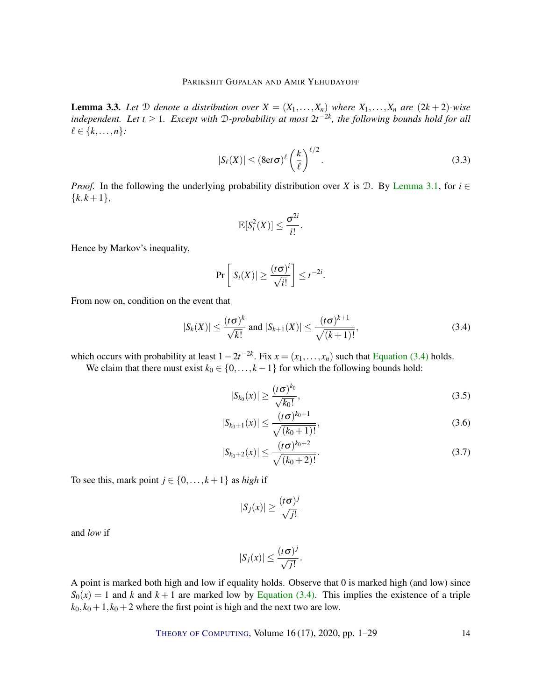<span id="page-13-4"></span>**Lemma 3.3.** Let  $D$  denote a distribution over  $X = (X_1, \ldots, X_n)$  where  $X_1, \ldots, X_n$  are  $(2k+2)$ -wise *independent.* Let  $t \ge 1$ *. Except with* D-probability at most  $2t^{-2k}$ , the following bounds hold for all  $\ell \in \{k,\ldots,n\}$ :

$$
|S_{\ell}(X)| \le (8et\sigma)^{\ell} \left(\frac{k}{\ell}\right)^{\ell/2}.
$$
 (3.3)

*Proof.* In the following the underlying probability distribution over *X* is D. By [Lemma](#page-12-2) [3.1,](#page-12-2) for  $i \in$  ${k, k+1},$ 

$$
\mathbb{E}[S_i^2(X)] \leq \frac{\sigma^{2i}}{i!}.
$$

Hence by Markov's inequality,

$$
\Pr\left[|S_i(X)| \geq \frac{(t\sigma)^i}{\sqrt{i!}}\right] \leq t^{-2i}.
$$

From now on, condition on the event that

$$
|S_k(X)| \le \frac{(t\sigma)^k}{\sqrt{k!}}
$$
 and  $|S_{k+1}(X)| \le \frac{(t\sigma)^{k+1}}{\sqrt{(k+1)!}}$ , (3.4)

which occurs with probability at least  $1 - 2t^{-2k}$ . Fix  $x = (x_1, \ldots, x_n)$  such that [Equation \(3.4\)](#page-13-0) holds.

We claim that there must exist  $k_0 \in \{0, \ldots, k-1\}$  for which the following bounds hold:

<span id="page-13-2"></span><span id="page-13-1"></span><span id="page-13-0"></span>
$$
|S_{k_0}(x)| \ge \frac{(t\sigma)^{k_0}}{\sqrt{k_0!}},\tag{3.5}
$$

$$
|S_{k_0+1}(x)| \le \frac{(t\sigma)^{k_0+1}}{\sqrt{(k_0+1)!}},
$$
\n(3.6)

$$
|S_{k_0+2}(x)| \le \frac{(t\sigma)^{k_0+2}}{\sqrt{(k_0+2)!}}.\tag{3.7}
$$

To see this, mark point  $j \in \{0, \ldots, k+1\}$  as *high* if

<span id="page-13-3"></span>
$$
|S_j(x)| \ge \frac{(t\sigma)^j}{\sqrt{j!}}
$$

and *low* if

$$
|S_j(x)| \leq \frac{(t\sigma)^j}{\sqrt{j!}}.
$$

A point is marked both high and low if equality holds. Observe that 0 is marked high (and low) since  $S_0(x) = 1$  and *k* and  $k + 1$  are marked low by [Equation](#page-13-0) [\(3.4\)](#page-13-0). This implies the existence of a triple  $k_0$ ,  $k_0$  + 1,  $k_0$  + 2 where the first point is high and the next two are low.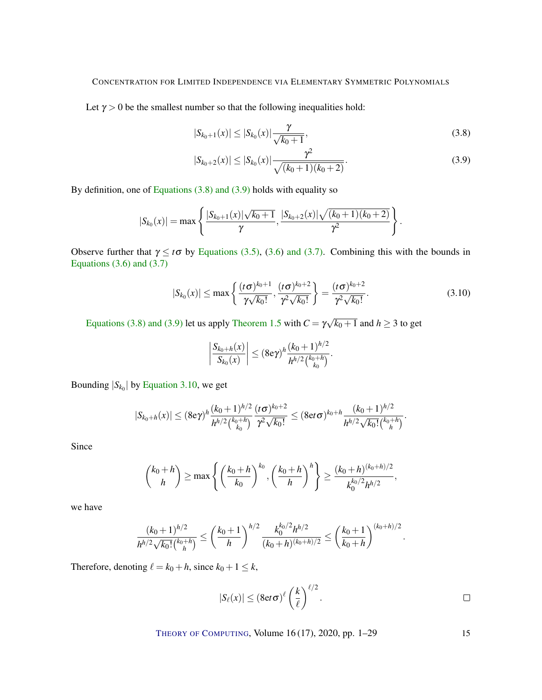Let  $\gamma > 0$  be the smallest number so that the following inequalities hold:

<span id="page-14-0"></span>
$$
|S_{k_0+1}(x)| \le |S_{k_0}(x)| \frac{\gamma}{\sqrt{k_0+1}},
$$
\n(3.8)

<span id="page-14-1"></span>
$$
|S_{k_0+2}(x)| \le |S_{k_0}(x)| \frac{\gamma^2}{\sqrt{(k_0+1)(k_0+2)}}.
$$
\n(3.9)

By definition, one of [Equations \(3.8\)](#page-14-0) [and \(3.9\)](#page-14-1) holds with equality so

$$
|S_{k_0}(x)| = \max \left\{ \frac{|S_{k_0+1}(x)|\sqrt{k_0+1}}{\gamma}, \frac{|S_{k_0+2}(x)|\sqrt{(k_0+1)(k_0+2)}}{\gamma^2} \right\}.
$$

Observe further that  $\gamma \le t\sigma$  by [Equations](#page-13-1) [\(3.5\)](#page-13-1), [\(3.6\)](#page-13-2) and [\(3.7\).](#page-13-3) Combining this with the bounds in Equations  $(3.6)$  and  $(3.7)$ 

$$
|S_{k_0}(x)| \le \max\left\{\frac{(t\sigma)^{k_0+1}}{\gamma\sqrt{k_0!}}, \frac{(t\sigma)^{k_0+2}}{\gamma^2\sqrt{k_0!}}\right\} = \frac{(t\sigma)^{k_0+2}}{\gamma^2\sqrt{k_0!}}.
$$
 (3.10)

[Equations \(3.8\)](#page-14-0) [and \(3.9\)](#page-14-1) let us apply [Theorem](#page-3-0) [1.5](#page-3-0) with  $C = \gamma$ √  $k_0+1$  and  $h \geq 3$  to get

<span id="page-14-2"></span>
$$
\left|\frac{S_{k_0+h}(x)}{S_{k_0}(x)}\right| \le (8e\gamma)^h \frac{(k_0+1)^{h/2}}{h^{h/2} \binom{k_0+h}{k_0}}.
$$

Bounding  $|S_{k_0}|$  by [Equation](#page-14-2) [3.10,](#page-14-2) we get

$$
|S_{k_0+h}(x)| \le (8e\gamma)^h \frac{(k_0+1)^{h/2}}{h^{h/2} \binom{k_0+h}{k_0}} \frac{(t\sigma)^{k_0+2}}{\gamma^2 \sqrt{k_0!}} \le (8et\sigma)^{k_0+h} \frac{(k_0+1)^{h/2}}{h^{h/2} \sqrt{k_0! \binom{k_0+h}{h}}}.
$$

Since

$$
{k_0+h \choose h} \ge \max\left\{ \left(\frac{k_0+h}{k_0}\right)^{k_0}, \left(\frac{k_0+h}{h}\right)^h \right\} \ge \frac{(k_0+h)^{(k_0+h)/2}}{k_0^{k_0/2}h^{h/2}},
$$

we have

$$
\frac{(k_0+1)^{h/2}}{h^{h/2}\sqrt{k_0!} \binom{k_0+h}{h}} \le \left(\frac{k_0+1}{h}\right)^{h/2} \frac{k_0^{k_0/2} h^{h/2}}{(k_0+h)^{(k_0+h)/2}} \le \left(\frac{k_0+1}{k_0+h}\right)^{(k_0+h)/2}.
$$

Therefore, denoting  $\ell = k_0 + h$ , since  $k_0 + 1 \leq k$ ,

$$
|S_{\ell}(x)| \leq (8et\sigma)^{\ell} \left(\frac{k}{\ell}\right)^{\ell/2}.
$$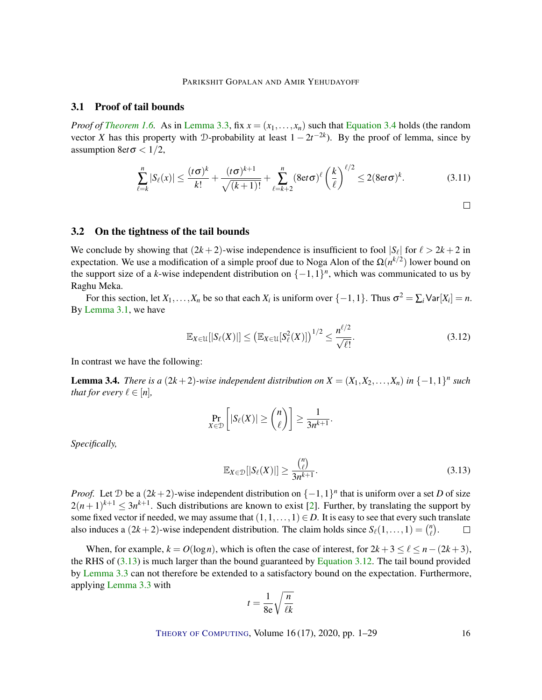## <span id="page-15-5"></span>3.1 Proof of tail bounds

*Proof of [Theorem](#page-4-1) [1.6.](#page-4-1)* As in [Lemma](#page-13-4) [3.3,](#page-13-4) fix  $x = (x_1, \ldots, x_n)$  such that [Equation](#page-13-0) [3.4](#page-13-0) holds (the random vector *X* has this property with D-probability at least  $1 - 2t^{-2k}$ ). By the proof of lemma, since by assumption  $8 \text{e}t \sigma < 1/2$ ,

$$
\sum_{\ell=k}^{n} |S_{\ell}(x)| \leq \frac{(t\sigma)^{k}}{k!} + \frac{(t\sigma)^{k+1}}{\sqrt{(k+1)!}} + \sum_{\ell=k+2}^{n} (8et\sigma)^{\ell} \left(\frac{k}{\ell}\right)^{\ell/2} \leq 2(8et\sigma)^{k}.
$$
 (3.11)

<span id="page-15-3"></span><span id="page-15-1"></span>
$$
\qquad \qquad \Box
$$

## <span id="page-15-0"></span>3.2 On the tightness of the tail bounds

We conclude by showing that  $(2k+2)$ -wise independence is insufficient to fool  $|S_\ell|$  for  $\ell > 2k+2$  in expectation. We use a modification of a simple proof due to Noga Alon of the  $\Omega(n^{k/2})$  lower bound on the support size of a *k*-wise independent distribution on  $\{-1,1\}^n$ , which was communicated to us by Raghu Meka.

For this section, let  $X_1, \ldots, X_n$  be so that each  $X_i$  is uniform over  $\{-1, 1\}$ . Thus  $\sigma^2 = \sum_i \text{Var}[X_i] = n$ . By [Lemma](#page-12-2) [3.1,](#page-12-2) we have

$$
\mathbb{E}_{X\in\mathcal{U}}[|S_{\ell}(X)|] \le \left(\mathbb{E}_{X\in\mathcal{U}}[S_{\ell}^{2}(X)]\right)^{1/2} \le \frac{n^{\ell/2}}{\sqrt{\ell!}}.\tag{3.12}
$$

<span id="page-15-2"></span>.

In contrast we have the following:

<span id="page-15-4"></span>**Lemma 3.4.** *There is a*  $(2k+2)$ -wise independent distribution on  $X = (X_1, X_2, \ldots, X_n)$  in  $\{-1,1\}^n$  such *that for every*  $\ell \in [n]$ *,* 

$$
\Pr_{X \in \mathcal{D}} \left[ |S_{\ell}(X)| \geq {n \choose \ell} \right] \geq \frac{1}{3n^{k+1}}
$$

*Specifically,*

$$
\mathbb{E}_{X \in \mathcal{D}}[|S_{\ell}(X)|] \ge \frac{{n \choose \ell}}{3n^{k+1}}.\tag{3.13}
$$

*Proof.* Let  $D$  be a  $(2k+2)$ -wise independent distribution on  $\{-1,1\}$ <sup>n</sup> that is uniform over a set *D* of size  $2(n+1)^{k+1} \leq 3n^{k+1}$ . Such distributions are known to exist [\[2\]](#page-26-10). Further, by translating the support by some fixed vector if needed, we may assume that  $(1,1,\ldots,1) \in D$ . It is easy to see that every such translate also induces a  $(2k+2)$ -wise independent distribution. The claim holds since  $S_{\ell}(1,\ldots,1) = \binom{n}{\ell}$  $\binom{n}{\ell}$  .  $\Box$ 

When, for example,  $k = O(\log n)$ , which is often the case of interest, for  $2k + 3 \leq \ell \leq n - (2k + 3)$ , the RHS of  $(3.13)$  is much larger than the bound guaranteed by [Equation](#page-15-3) [3.12.](#page-15-3) The tail bound provided by [Lemma](#page-13-4) [3.3](#page-13-4) can not therefore be extended to a satisfactory bound on the expectation. Furthermore, applying [Lemma](#page-13-4) [3.3](#page-13-4) with

$$
t = \frac{1}{8e} \sqrt{\frac{n}{\ell k}}
$$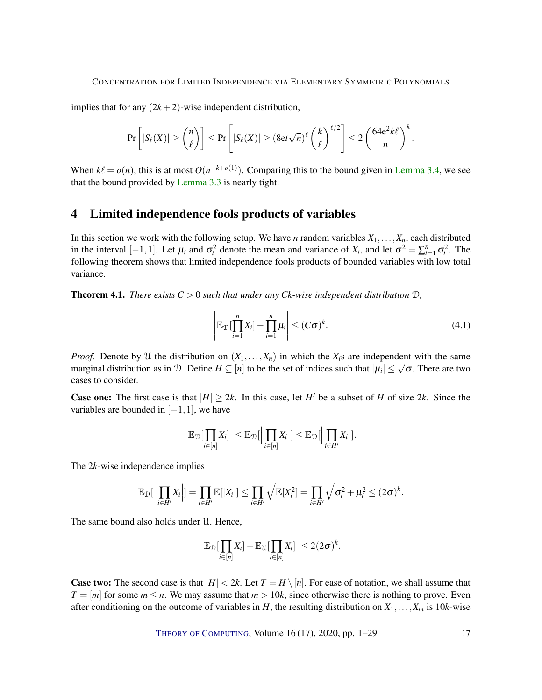implies that for any  $(2k+2)$ -wise independent distribution,

$$
\Pr\left[|S_{\ell}(X)| \geq {n \choose \ell}\right] \leq \Pr\left[|S_{\ell}(X)| \geq (8et\sqrt{n})^{\ell} \left(\frac{k}{\ell}\right)^{\ell/2}\right] \leq 2\left(\frac{64e^2k\ell}{n}\right)^k.
$$

When  $k\ell = o(n)$ , this is at most  $O(n^{-k+o(1)})$ . Comparing this to the bound given in [Lemma](#page-15-4) [3.4,](#page-15-4) we see that the bound provided by [Lemma](#page-13-4) [3.3](#page-13-4) is nearly tight.

## <span id="page-16-0"></span>4 Limited independence fools products of variables

In this section we work with the following setup. We have *n* random variables  $X_1, \ldots, X_n$ , each distributed in the interval  $[-1,1]$ . Let  $\mu_i$  and  $\sigma_i^2$  denote the mean and variance of  $X_i$ , and let  $\sigma^2 = \sum_{i=1}^n \sigma_i^2$ . The following theorem shows that limited independence fools products of bounded variables with low total variance.

<span id="page-16-1"></span>**Theorem 4.1.** *There exists*  $C > 0$  *such that under any Ck-wise independent distribution*  $D$ ,

$$
\left|\mathbb{E}_{\mathcal{D}}[\prod_{i=1}^{n} X_i] - \prod_{i=1}^{n} \mu_i\right| \leq (C\sigma)^k.
$$
\n(4.1)

*Proof.* Denote by U the distribution on  $(X_1, \ldots, X_n)$  in which the  $X_i$ s are independent with the same *marginal distribution as in D. Define*  $H \subseteq [n]$  *to be the set of indices such that*  $|\mu_i| \leq \sqrt{\sigma}$ *. There are two* cases to consider.

**Case one:** The first case is that  $|H| \geq 2k$ . In this case, let *H*<sup> $\prime$ </sup> be a subset of *H* of size 2*k*. Since the variables are bounded in  $[-1,1]$ , we have

$$
\left|\mathbb{E}_{\mathcal{D}}\left[\prod_{i\in[n]}X_i\right]\right|\leq \mathbb{E}_{\mathcal{D}}\left|\left|\prod_{i\in[n]}X_i\right|\right|\leq \mathbb{E}_{\mathcal{D}}\left|\left|\prod_{i\in H'}X_i\right|\right|.
$$

The 2*k*-wise independence implies

$$
\mathbb{E}_{\mathcal{D}}\left[\left|\prod_{i\in H'}X_i\right|\right] = \prod_{i\in H'}\mathbb{E}[|X_i|] \leq \prod_{i\in H'}\sqrt{\mathbb{E}[X_i^2]} = \prod_{i\in H'}\sqrt{\sigma_i^2 + \mu_i^2} \leq (2\sigma)^k.
$$

The same bound also holds under U. Hence,

$$
\left|\mathbb{E}_{\mathcal{D}}[\prod_{i\in[n]}X_i]-\mathbb{E}_{\mathcal{U}}[\prod_{i\in[n]}X_i]\right|\leq 2(2\sigma)^k.
$$

**Case two:** The second case is that  $|H| < 2k$ . Let  $T = H \setminus [n]$ . For ease of notation, we shall assume that  $T = [m]$  for some  $m \le n$ . We may assume that  $m > 10k$ , since otherwise there is nothing to prove. Even after conditioning on the outcome of variables in *H*, the resulting distribution on  $X_1, \ldots, X_m$  is 10*k*-wise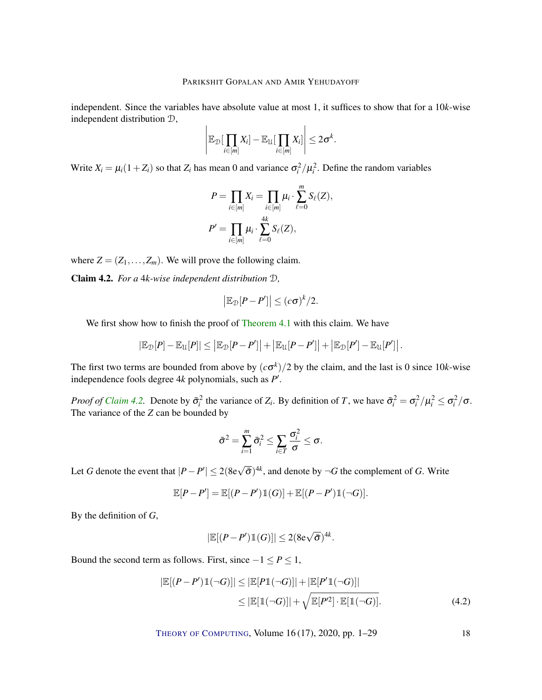independent. Since the variables have absolute value at most 1, it suffices to show that for a 10*k*-wise independent distribution D,  $\overline{1}$ 

$$
\left|\mathbb{E}_{\mathcal{D}}\left[\prod_{i\in[m]}X_i\right]-\mathbb{E}_{\mathcal{U}}\left[\prod_{i\in[m]}X_i\right]\right|\leq 2\sigma^k.
$$

Write  $X_i = \mu_i (1 + Z_i)$  so that  $Z_i$  has mean 0 and variance  $\sigma_i^2 / \mu_i^2$ . Define the random variables

$$
P = \prod_{i \in [m]} X_i = \prod_{i \in [m]} \mu_i \cdot \sum_{\ell=0}^m S_{\ell}(Z),
$$
  

$$
P' = \prod_{i \in [m]} \mu_i \cdot \sum_{\ell=0}^{4k} S_{\ell}(Z),
$$

where  $Z = (Z_1, \ldots, Z_m)$ . We will prove the following claim.

<span id="page-17-0"></span>Claim 4.2. *For a* 4*k-wise independent distribution* D*,*

$$
\left|\mathbb{E}_{\mathcal{D}}[P-P']\right| \leq (c\sigma)^k/2.
$$

We first show how to finish the proof of [Theorem](#page-16-1) [4.1](#page-16-1) with this claim. We have

$$
|\mathbb{E}_{\mathcal{D}}[P] - \mathbb{E}_{\mathcal{U}}[P]| \leq |\mathbb{E}_{\mathcal{D}}[P - P']| + |\mathbb{E}_{\mathcal{U}}[P - P']| + |\mathbb{E}_{\mathcal{D}}[P'] - \mathbb{E}_{\mathcal{U}}[P']|.
$$

The first two terms are bounded from above by  $(c\sigma^k)/2$  by the claim, and the last is 0 since 10*k*-wise independence fools degree  $4k$  polynomials, such as  $P'$ .

*Proof of [Claim](#page-17-0) [4.2.](#page-17-0)* Denote by  $\bar{\sigma}_i^2$  the variance of  $Z_i$ . By definition of *T*, we have  $\bar{\sigma}_i^2 = \sigma_i^2 / \mu_i^2 \le \sigma_i^2 / \sigma$ . The variance of the *Z* can be bounded by

$$
\bar{\sigma}^2 = \sum_{i=1}^m \bar{\sigma}_i^2 \leq \sum_{i \in T} \frac{\sigma_i^2}{\sigma} \leq \sigma.
$$

Let *G* denote the event that  $|P - P'| \leq 2(8e\sqrt{\bar{\sigma}})^{4k}$ , and denote by  $\neg G$  the complement of *G*. Write

$$
\mathbb{E}[P-P'] = \mathbb{E}[(P-P')\mathbb{1}(G)] + \mathbb{E}[(P-P')\mathbb{1}(\neg G)].
$$

By the definition of *G*,

$$
|\mathbb{E}[(P-P')\mathbb{1}(G)]| \leq 2(8e\sqrt{\bar{\sigma}})^{4k}.
$$

Bound the second term as follows. First, since  $-1 \le P \le 1$ ,

$$
|\mathbb{E}[(P - P')\mathbb{1}(\neg G)]| \leq |\mathbb{E}[P\mathbb{1}(\neg G)]| + |\mathbb{E}[P'\mathbb{1}(\neg G)]|
$$
  
\n
$$
\leq |\mathbb{E}[\mathbb{1}(\neg G)]| + \sqrt{\mathbb{E}[P'^2] \cdot \mathbb{E}[\mathbb{1}(\neg G)]}. \tag{4.2}
$$

<span id="page-17-1"></span>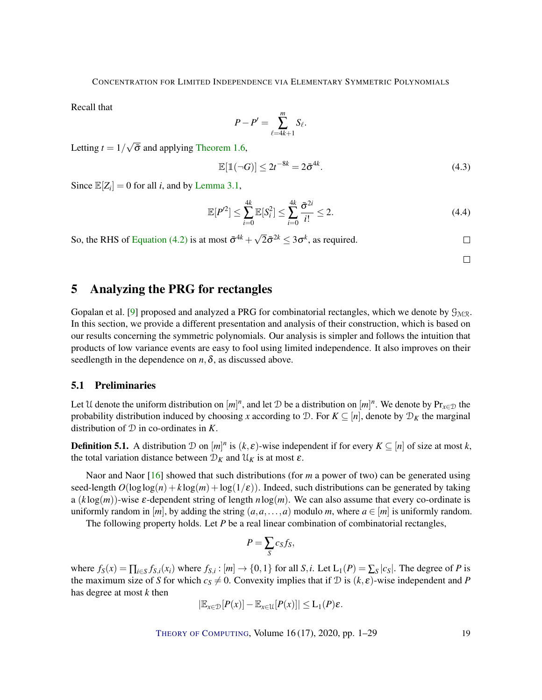<span id="page-18-1"></span>Recall that

$$
P-P'=\sum_{\ell=4k+1}^m S_{\ell}.
$$

Letting  $t = 1/$ √  $\bar{\sigma}$  and applying [Theorem](#page-4-1) [1.6,](#page-4-1)

$$
\mathbb{E}[\mathbb{1}(\neg G)] \le 2t^{-8k} = 2\bar{\sigma}^{4k}.\tag{4.3}
$$

Since  $\mathbb{E}[Z_i] = 0$  for all *i*, and by [Lemma](#page-12-2) [3.1,](#page-12-2)

$$
\mathbb{E}[P^2] \le \sum_{i=0}^{4k} \mathbb{E}[S_i^2] \le \sum_{i=0}^{4k} \frac{\bar{\sigma}^{2i}}{i!} \le 2. \tag{4.4}
$$

So, the RHS of [Equation \(4.2\)](#page-17-1) is at most  $\bar{\sigma}^{4k} + \sqrt{ }$  $\overline{2}\bar{\sigma}^{2k} \leq 3\sigma^k$ , as required.

 $\Box$  $\Box$ 

# <span id="page-18-0"></span>5 Analyzing the PRG for rectangles

Gopalan et al. [\[9\]](#page-26-3) proposed and analyzed a PRG for combinatorial rectangles, which we denote by  $\mathcal{G}_{M/R}$ . In this section, we provide a different presentation and analysis of their construction, which is based on our results concerning the symmetric polynomials. Our analysis is simpler and follows the intuition that products of low variance events are easy to fool using limited independence. It also improves on their seedlength in the dependence on  $n, \delta$ , as discussed above.

## 5.1 Preliminaries

Let U denote the uniform distribution on  $[m]^n$ , and let D be a distribution on  $[m]^n$ . We denote by  $Pr_{x \in D}$  the probability distribution induced by choosing *x* according to D. For  $K \subseteq [n]$ , denote by  $\mathcal{D}_K$  the marginal distribution of D in co-ordinates in *K*.

**Definition 5.1.** A distribution  $D$  on  $[m]^n$  is  $(k, \varepsilon)$ -wise independent if for every  $K \subseteq [n]$  of size at most k, the total variation distance between  $\mathcal{D}_K$  and  $\mathcal{U}_K$  is at most  $\varepsilon$ .

Naor and Naor [\[16\]](#page-27-9) showed that such distributions (for *m* a power of two) can be generated using seed-length  $O(\log \log(n) + k \log(m) + \log(1/\epsilon))$ . Indeed, such distributions can be generated by taking a (*k* log(*m*))-wise ε-dependent string of length *n*log(*m*). We can also assume that every co-ordinate is uniformly random in [*m*], by adding the string  $(a, a, \ldots, a)$  modulo *m*, where  $a \in [m]$  is uniformly random.

The following property holds. Let *P* be a real linear combination of combinatorial rectangles,

$$
P=\sum_{S}c_{S}f_{S},
$$

where  $f_S(x) = \prod_{i \in S} f_{S,i}(x_i)$  where  $f_{S,i} : [m] \to \{0,1\}$  for all  $S, i$ . Let  $L_1(P) = \sum_S |c_S|$ . The degree of P is the maximum size of *S* for which  $c_s \neq 0$ . Convexity implies that if D is  $(k, \varepsilon)$ -wise independent and *P* has degree at most *k* then

$$
|\mathbb{E}_{x\in\mathcal{D}}[P(x)] - \mathbb{E}_{x\in\mathcal{U}}[P(x)]| \leq L_1(P)\varepsilon.
$$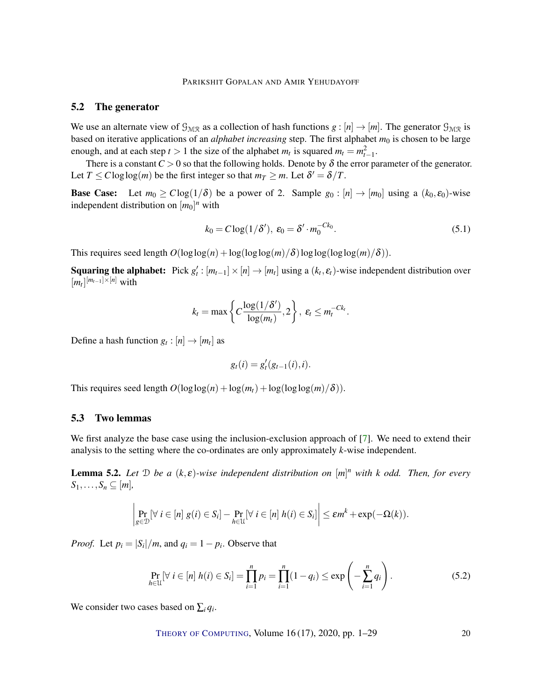## PARIKSHIT GOPALAN AND AMIR YEHUDAYOFF

## <span id="page-19-3"></span><span id="page-19-0"></span>5.2 The generator

We use an alternate view of  $\mathcal{G}_{M/R}$  as a collection of hash functions  $g : [n] \to [m]$ . The generator  $\mathcal{G}_{M/R}$  is based on iterative applications of an *alphabet increasing* step. The first alphabet  $m_0$  is chosen to be large enough, and at each step  $t > 1$  the size of the alphabet  $m_t$  is squared  $m_t = m_{t-1}^2$ .

There is a constant  $C > 0$  so that the following holds. Denote by  $\delta$  the error parameter of the generator. Let  $T \leq C \log \log(m)$  be the first integer so that  $m_T \geq m$ . Let  $\delta' = \delta/T$ .

**Base Case:** Let  $m_0 \geq C \log(1/\delta)$  be a power of 2. Sample  $g_0 : [n] \rightarrow [m_0]$  using a  $(k_0, \varepsilon_0)$ -wise independent distribution on  $[m_0]^n$  with

$$
k_0 = C \log(1/\delta'), \ \varepsilon_0 = \delta' \cdot m_0^{-Ck_0}.
$$
\n
$$
(5.1)
$$

This requires seed length  $O(\log \log(n) + \log(\log \log(m)/\delta) \log \log(\log(m)/\delta))$ .

**Squaring the alphabet:** Pick  $g'_t$ :  $[m_{t-1}] \times [n] \rightarrow [m_t]$  using a  $(k_t, \varepsilon_t)$ -wise independent distribution over  $[m_t]^{[m_{t-1}]\times[n]}$  with

$$
k_t = \max\left\{C\frac{\log(1/\delta')}{\log(m_t)}, 2\right\}, \ \varepsilon_t \leq m_t^{-Ck_t}.
$$

Define a hash function  $g_t : [n] \to [m_t]$  as

<span id="page-19-1"></span>
$$
g_t(i) = g'_t(g_{t-1}(i), i).
$$

This requires seed length  $O(\log \log(n) + \log(m_t) + \log(\log \log(m)/\delta)).$ 

## 5.3 Two lemmas

We first analyze the base case using the inclusion-exclusion approach of [\[7\]](#page-26-0). We need to extend their analysis to the setting where the co-ordinates are only approximately *k*-wise independent.

<span id="page-19-2"></span>Lemma 5.2. *Let* D *be a* (*k*, ε)*-wise independent distribution on* [*m*] *<sup>n</sup> with k odd. Then, for every*  $S_1, \ldots, S_n \subseteq [m]$ 

$$
\left|\Pr_{g\in\mathcal{D}}[\forall i\in[n] \ g(i)\in S_i]-\Pr_{h\in\mathcal{U}}[\forall i\in[n] \ h(i)\in S_i]\right|\leq \varepsilon m^k+\exp(-\Omega(k)).
$$

*Proof.* Let  $p_i = |S_i|/m$ , and  $q_i = 1 - p_i$ . Observe that

$$
\Pr_{h \in \mathcal{U}} [\forall i \in [n] \ h(i) \in S_i] = \prod_{i=1}^n p_i = \prod_{i=1}^n (1 - q_i) \le \exp\left(-\sum_{i=1}^n q_i\right).
$$
 (5.2)

We consider two cases based on  $\sum_i q_i$ .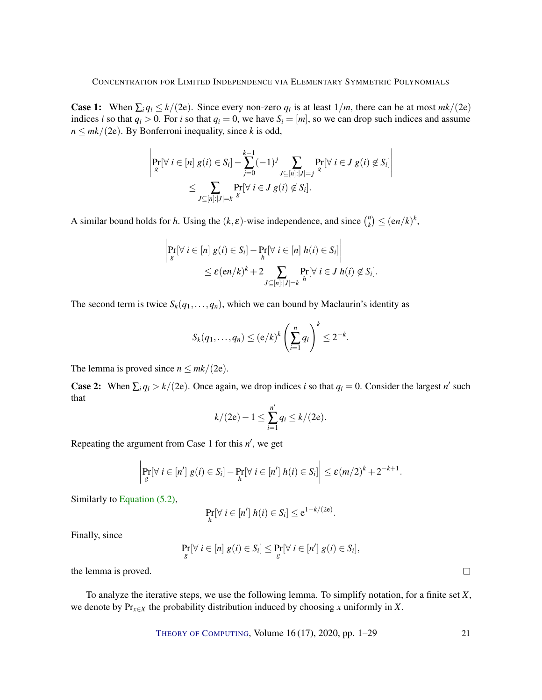**Case 1:** When  $\sum_i q_i \le k/(2e)$ . Since every non-zero  $q_i$  is at least  $1/m$ , there can be at most  $mk/(2e)$ indices *i* so that  $q_i > 0$ . For *i* so that  $q_i = 0$ , we have  $S_i = [m]$ , so we can drop such indices and assume  $n \leq mk/(2e)$ . By Bonferroni inequality, since *k* is odd,

$$
\left| \Pr_{g}[\forall i \in [n] \ g(i) \in S_i] - \sum_{j=0}^{k-1} (-1)^j \sum_{J \subseteq [n]:|J|=j} \Pr_{g}[\forall i \in J \ g(i) \not\in S_i] \right|
$$
  

$$
\leq \sum_{J \subseteq [n]:|J|=k} \Pr_{g}[\forall i \in J \ g(i) \not\in S_i].
$$

A similar bound holds for *h*. Using the  $(k, \varepsilon)$ -wise independence, and since  $\binom{n}{k}$  ${k \choose k} \leq (en/k)^k,$ 

$$
\left| \Pr_{g}[\forall i \in [n] \ g(i) \in S_i] - \Pr_{h}[\forall i \in [n] \ h(i) \in S_i] \right|
$$
  

$$
\leq \varepsilon (en/k)^k + 2 \sum_{J \subseteq [n]:|J| = k} \Pr_{h}[\forall i \in J \ h(i) \not\in S_i].
$$

The second term is twice  $S_k(q_1,...,q_n)$ , which we can bound by Maclaurin's identity as

$$
S_k(q_1,\ldots,q_n) \le (e/k)^k \left(\sum_{i=1}^n q_i\right)^k \le 2^{-k}.
$$

The lemma is proved since  $n \leq mk/(2e)$ .

**Case 2:** When  $\sum_i q_i > k/(2e)$ . Once again, we drop indices *i* so that  $q_i = 0$ . Consider the largest *n'* such that

$$
k/(2e) - 1 \le \sum_{i=1}^{n'} q_i \le k/(2e).
$$

Repeating the argument from Case  $1$  for this  $n'$ , we get

$$
\left|\Pr_{g}[\forall i \in [n'] \ g(i) \in S_i] - \Pr_{h}[\forall i \in [n'] \ h(i) \in S_i]\right| \leq \varepsilon (m/2)^k + 2^{-k+1}.
$$

Similarly to [Equation \(5.2\),](#page-19-1)

$$
\Pr_{h}[\forall i \in [n'] \; h(i) \in S_i] \leq e^{1-k/(2e)}.
$$

Finally, since

$$
\Pr_{g}[\forall i \in [n] \ g(i) \in S_i] \leq \Pr_{g}[\forall i \in [n'] \ g(i) \in S_i],
$$

the lemma is proved.

To analyze the iterative steps, we use the following lemma. To simplify notation, for a finite set *X*, we denote by Pr*x*∈*<sup>X</sup>* the probability distribution induced by choosing *x* uniformly in *X*.

THEORY OF C[OMPUTING](http://dx.doi.org/10.4086/toc), Volume 16 (17), 2020, pp. 1–29 21

 $\Box$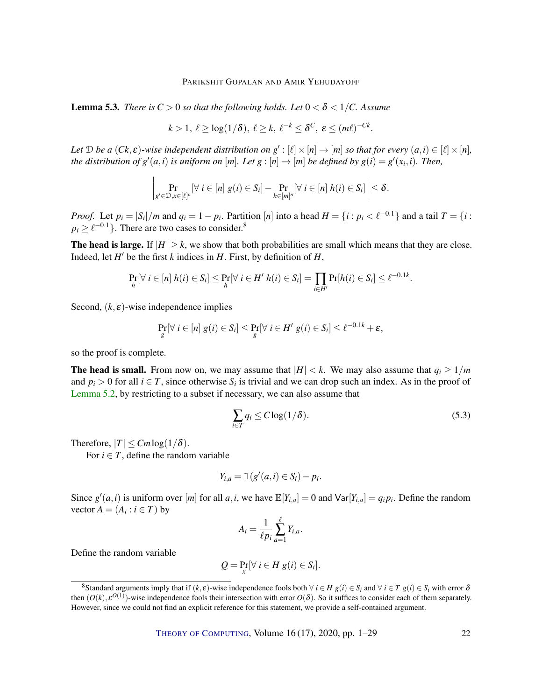<span id="page-21-1"></span>**Lemma 5.3.** *There is*  $C > 0$  *so that the following holds. Let*  $0 < \delta < 1/C$ . Assume

$$
k > 1, \ \ell \geq \log(1/\delta), \ \ell \geq k, \ \ell^{-k} \leq \delta^C, \ \varepsilon \leq (m\ell)^{-Ck}
$$

*Let*  $D$  *be a*  $(Ck, \varepsilon)$ -wise independent distribution on  $g': [\ell] \times [n] \to [m]$  so that for every  $(a, i) \in [\ell] \times [n]$ , the distribution of  $g'(a,i)$  is uniform on  $[m]$ *. Let*  $g:[n] \to [m]$  be defined by  $g(i) = g'(x_i,i)$ *. Then,* 

$$
\left|\Pr_{g' \in \mathcal{D}, x \in [\ell]^n} [\forall i \in [n] \ g(i) \in S_i] - \Pr_{h \in [m]^n} [\forall i \in [n] \ h(i) \in S_i] \right| \leq \delta.
$$

*Proof.* Let  $p_i = |S_i|/m$  and  $q_i = 1 - p_i$ . Partition [n] into a head  $H = \{i : p_i < \ell^{-0.1}\}\$ and a tail  $T = \{i : p_i \ge \ell^{-0.1}\}\$  $p_i \geq \ell^{-0.1}$ }. There are two cases to consider.<sup>8</sup>

The head is large. If  $|H| \ge k$ , we show that both probabilities are small which means that they are close. Indeed, let  $H'$  be the first  $k$  indices in  $H$ . First, by definition of  $H$ ,

$$
\Pr_{h}[\forall i \in [n] \ h(i) \in S_i] \leq \Pr_{h}[\forall i \in H' \ h(i) \in S_i] = \prod_{i \in H'} \Pr[h(i) \in S_i] \leq \ell^{-0.1k}.
$$

Second,  $(k, \varepsilon)$ -wise independence implies

$$
\Pr_{g}[\forall i \in [n] \ g(i) \in S_i] \leq \Pr_{g}[\forall i \in H' \ g(i) \in S_i] \leq \ell^{-0.1k} + \varepsilon,
$$

so the proof is complete.

**The head is small.** From now on, we may assume that  $|H| < k$ . We may also assume that  $q_i \geq 1/m$ and  $p_i > 0$  for all  $i \in T$ , since otherwise  $S_i$  is trivial and we can drop such an index. As in the proof of [Lemma](#page-19-2) [5.2,](#page-19-2) by restricting to a subset if necessary, we can also assume that

<span id="page-21-0"></span>
$$
\sum_{i \in T} q_i \le C \log(1/\delta). \tag{5.3}
$$

.

Therefore,  $|T| \leq C m \log(1/\delta)$ .

For  $i \in T$ , define the random variable

$$
Y_{i,a} = \mathbb{1}(g'(a,i) \in S_i) - p_i.
$$

Since  $g'(a, i)$  is uniform over [*m*] for all *a*, *i*, we have  $\mathbb{E}[Y_{i,a}] = 0$  and  $\text{Var}[Y_{i,a}] = q_i p_i$ . Define the random vector  $A = (A_i : i \in T)$  by

$$
A_i = \frac{1}{\ell p_i} \sum_{a=1}^{\ell} Y_{i,a}.
$$

Define the random variable

$$
Q = \Pr_{x}[\forall i \in H \ g(i) \in S_i].
$$

<sup>&</sup>lt;sup>8</sup>Standard arguments imply that if  $(k, \varepsilon)$ -wise independence fools both  $\forall i \in H$   $g(i) \in S_i$  and  $\forall i \in T$   $g(i) \in S_i$  with error  $\delta$ then  $(O(k), \varepsilon^{O(1)})$ -wise independence fools their intersection with error  $O(\delta)$ . So it suffices to consider each of them separately. However, since we could not find an explicit reference for this statement, we provide a self-contained argument.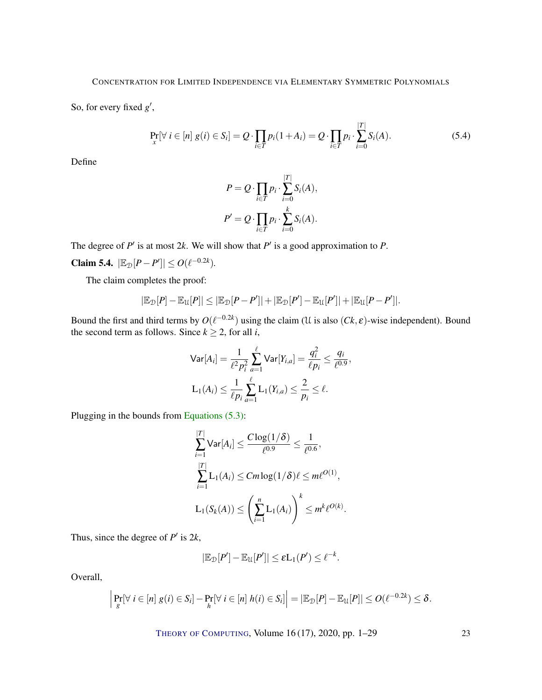So, for every fixed  $g'$ ,

$$
\Pr_{x}[\forall i \in [n] \ g(i) \in S_i] = Q \cdot \prod_{i \in T} p_i (1 + A_i) = Q \cdot \prod_{i \in T} p_i \cdot \sum_{i=0}^{|T|} S_i(A). \tag{5.4}
$$

Define

$$
P = Q \cdot \prod_{i \in T} p_i \cdot \sum_{i=0}^{|T|} S_i(A),
$$
  

$$
P' = Q \cdot \prod_{i \in T} p_i \cdot \sum_{i=0}^k S_i(A).
$$

The degree of  $P'$  is at most 2k. We will show that  $P'$  is a good approximation to  $P$ .

<span id="page-22-0"></span>Claim 5.4.  $|\mathbb{E}_{\mathcal{D}}[P - P']| \le O(\ell^{-0.2k})$ *.* 

The claim completes the proof:

$$
|\mathbb{E}_{\mathcal{D}}[P] - \mathbb{E}_{\mathcal{U}}[P]| \leq |\mathbb{E}_{\mathcal{D}}[P - P']| + |\mathbb{E}_{\mathcal{D}}[P'] - \mathbb{E}_{\mathcal{U}}[P']| + |\mathbb{E}_{\mathcal{U}}[P - P']|.
$$

Bound the first and third terms by  $O(\ell^{-0.2k})$  using the claim (U is also  $(Ck, \varepsilon)$ -wise independent). Bound the second term as follows. Since  $k \ge 2$ , for all *i*,

$$
\begin{aligned} \n\text{Var}[A_i] &= \frac{1}{\ell^2 p_i^2} \sum_{a=1}^{\ell} \text{Var}[Y_{i,a}] = \frac{q_i^2}{\ell p_i} \le \frac{q_i}{\ell^{0.9}},\\ \n\text{L}_1(A_i) &\le \frac{1}{\ell p_i} \sum_{a=1}^{\ell} \text{L}_1(Y_{i,a}) \le \frac{2}{p_i} \le \ell. \n\end{aligned}
$$

Plugging in the bounds from [Equations \(5.3\):](#page-21-0)

$$
\sum_{i=1}^{|T|} \text{Var}[A_i] \le \frac{C \log(1/\delta)}{\ell^{0.9}} \le \frac{1}{\ell^{0.6}},
$$
  

$$
\sum_{i=1}^{|T|} L_1(A_i) \le Cm \log(1/\delta) \ell \le m\ell^{O(1)},
$$
  

$$
L_1(S_k(A)) \le \left(\sum_{i=1}^n L_1(A_i)\right)^k \le m^k \ell^{O(k)}.
$$

Thus, since the degree of  $P'$  is  $2k$ ,

$$
|\mathbb{E}_{\mathcal{D}}[P'] - \mathbb{E}_{\mathcal{U}}[P']| \leq \varepsilon L_1(P') \leq \ell^{-k}.
$$

Overall,

$$
\left|\Pr_{g}[ \forall i \in [n] \ g(i) \in S_i] - \Pr_{h}[\forall i \in [n] \ h(i) \in S_i]\right| = \left|\mathbb{E}_{\mathcal{D}}[P] - \mathbb{E}_{\mathcal{U}}[P]\right| \leq O(\ell^{-0.2k}) \leq \delta.
$$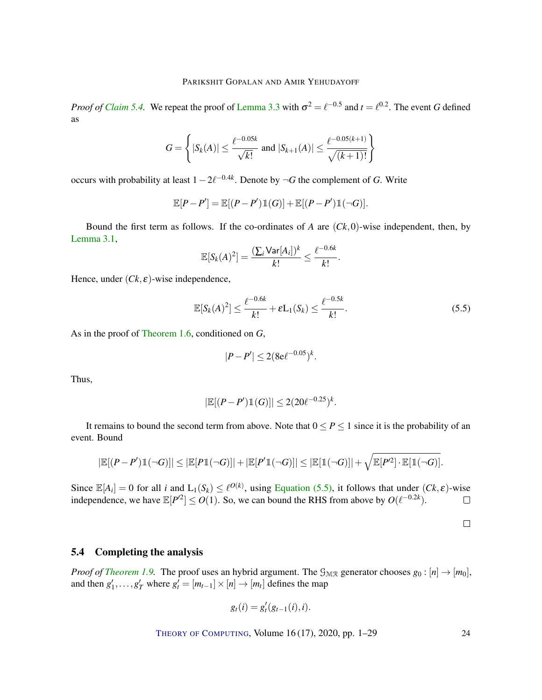*Proof of [Claim](#page-22-0)* [5.4.](#page-22-0) We repeat the proof of [Lemma](#page-13-4) [3.3](#page-13-4) with  $\sigma^2 = \ell^{-0.5}$  and  $t = \ell^{0.2}$ . The event *G* defined as

$$
G = \left\{ |S_k(A)| \le \frac{\ell^{-0.05k}}{\sqrt{k!}} \text{ and } |S_{k+1}(A)| \le \frac{\ell^{-0.05(k+1)}}{\sqrt{(k+1)!}} \right\}
$$

occurs with probability at least  $1 - 2\ell^{-0.4k}$ . Denote by  $\neg G$  the complement of *G*. Write

$$
\mathbb{E}[P-P'] = \mathbb{E}[(P-P')\mathbb{1}(G)] + \mathbb{E}[(P-P')\mathbb{1}(\neg G)].
$$

Bound the first term as follows. If the co-ordinates of *A* are (*Ck*,0)-wise independent, then, by [Lemma](#page-12-2) [3.1,](#page-12-2)

$$
\mathbb{E}[S_k(A)^2] = \frac{(\sum_i \text{Var}[A_i])^k}{k!} \leq \frac{\ell^{-0.6k}}{k!}.
$$

Hence, under  $(Ck, \varepsilon)$ -wise independence,

$$
\mathbb{E}[S_k(A)^2] \le \frac{\ell^{-0.6k}}{k!} + \varepsilon L_1(S_k) \le \frac{\ell^{-0.5k}}{k!}.
$$
\n
$$
(5.5)
$$

As in the proof of [Theorem](#page-4-1) [1.6,](#page-4-1) conditioned on *G*,

$$
|P - P'| \le 2(8e^{\ell - 0.05})^k.
$$

Thus,

$$
|\mathbb{E}[(P-P')\mathbb{1}(G)]| \le 2(20\ell^{-0.25})^k.
$$

It remains to bound the second term from above. Note that  $0 \le P \le 1$  since it is the probability of an event. Bound

$$
|\mathbb{E}[(P-P')\mathbb{1}(\neg G)]| \leq |\mathbb{E}[P\mathbb{1}(\neg G)]| + |\mathbb{E}[P'\mathbb{1}(\neg G)]| \leq |\mathbb{E}[\mathbb{1}(\neg G)]| + \sqrt{\mathbb{E}[P'^2] \cdot \mathbb{E}[\mathbb{1}(\neg G)]}.
$$

Since  $\mathbb{E}[A_i] = 0$  for all *i* and  $L_1(S_k) \leq \ell^{O(k)}$ , using [Equation](#page-23-0) [\(5.5\)](#page-23-0), it follows that under  $(Ck, \varepsilon)$ -wise independence, we have  $\mathbb{E}[P^2] \leq O(1)$ . So, we can bound the RHS from above by  $O(\ell^{-0.2k})$ .  $\Box$ 

<span id="page-23-0"></span> $\Box$ 

## 5.4 Completing the analysis

*Proof of [Theorem](#page-6-0) [1.9.](#page-6-0)* The proof uses an hybrid argument. The  $\mathcal{G}_{M,R}$  generator chooses  $g_0: [n] \rightarrow [m_0]$ , and then  $g'_1, \ldots, g'_T$  where  $g'_t = [m_{t-1}] \times [n] \rightarrow [m_t]$  defines the map

$$
g_t(i) = g'_t(g_{t-1}(i), i).
$$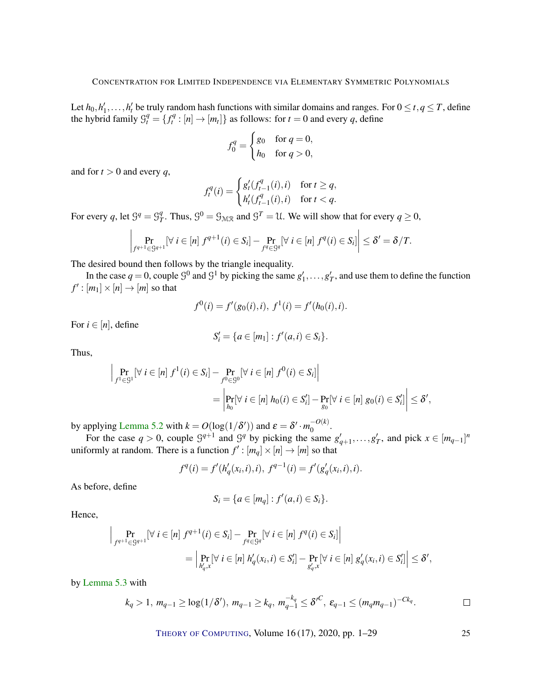Let  $h_0, h'_1, \ldots, h'_t$  be truly random hash functions with similar domains and ranges. For  $0 \le t, q \le T$ , define the hybrid family  $\mathcal{G}_t^q = \{f_t^q : [n] \to [m_t]\}$  as follows: for  $t = 0$  and every q, define

$$
f_0^q = \begin{cases} g_0 & \text{for } q = 0, \\ h_0 & \text{for } q > 0, \end{cases}
$$

and for  $t > 0$  and every  $q$ ,

$$
f_t^q(i) = \begin{cases} g'_t(f_{t-1}^q(i), i) & \text{for } t \ge q, \\ h'_t(f_{t-1}^q(i), i) & \text{for } t < q. \end{cases}
$$

For every q, let  $\mathcal{G}^q = \mathcal{G}^q$  $T^q$ . Thus,  $\mathcal{G}^0 = \mathcal{G}_{\mathcal{MR}}$  and  $\mathcal{G}^T = \mathcal{U}$ . We will show that for every  $q \ge 0$ ,

$$
\left|\Pr_{f^{q+1}\in\mathcal{G}^{q+1}}[\forall i\in[n] \ f^{q+1}(i)\in S_i]-\Pr_{f^q\in\mathcal{G}^q}[\forall i\in[n] \ f^q(i)\in S_i]\right|\leq \delta'=\delta/T.
$$

The desired bound then follows by the triangle inequality.

In the case  $q = 0$ , couple  $\mathcal{G}^0$  and  $\mathcal{G}^1$  by picking the same  $g'_1, \ldots, g'_T$ , and use them to define the function  $f' : [m_1] \times [n] \rightarrow [m]$  so that

$$
f^{0}(i) = f'(g_{0}(i), i), f^{1}(i) = f'(h_{0}(i), i).
$$

For  $i \in [n]$ , define

$$
S'_{i} = \{a \in [m_1] : f'(a, i) \in S_i\}.
$$

Thus,

$$
\left| \Pr_{f^1 \in \mathcal{G}^1} [\forall i \in [n] \ f^1(i) \in S_i] - \Pr_{f^0 \in \mathcal{G}^0} [\forall i \in [n] \ f^0(i) \in S_i] \right|
$$
  
= 
$$
\left| \Pr_{h_0} [\forall i \in [n] \ h_0(i) \in S_i'] - \Pr_{g_0} [\forall i \in [n] \ g_0(i) \in S_i'] \right| \leq \delta',
$$

by applying [Lemma](#page-19-2) [5.2](#page-19-2) with  $k = O(\log(1/\delta'))$  and  $\varepsilon = \delta' \cdot m_0^{-(\ell k)}$  $\sigma^{-(\kappa)}$ .

For the case  $q > 0$ , couple  $\mathcal{G}^{q+1}$  and  $\mathcal{G}^q$  by picking the same  $g'_{q+1}, \ldots, g'_{T}$ , and pick  $x \in [m_{q-1}]^n$ uniformly at random. There is a function  $f' : [m_q] \times [n] \rightarrow [m]$  so that

$$
f^{q}(i) = f'(h'_{q}(x_{i}, i), i), f^{q-1}(i) = f'(g'_{q}(x_{i}, i), i).
$$

As before, define

$$
S_i = \{a \in [m_q] : f'(a, i) \in S_i\}.
$$

Hence,

$$
\left| \Pr_{f^{q+1} \in \mathcal{G}^{q+1}} [\forall i \in [n] \ f^{q+1}(i) \in S_i] - \Pr_{f^q \in \mathcal{G}^q} [\forall i \in [n] \ f^q(i) \in S_i] \right|
$$
  
= 
$$
\left| \Pr_{h'_q, x} [\forall i \in [n] \ h'_q(x_i, i) \in S'_i] - \Pr_{g'_q, x} [\forall i \in [n] \ g'_q(x_i, i) \in S'_i] \right| \leq \delta',
$$

by [Lemma](#page-21-1) [5.3](#page-21-1) with

$$
k_q > 1
$$
,  $m_{q-1} \ge \log(1/\delta')$ ,  $m_{q-1} \ge k_q$ ,  $m_{q-1}^{-k_q} \le \delta'^C$ ,  $\varepsilon_{q-1} \le (m_q m_{q-1})^{-Ck_q}$ .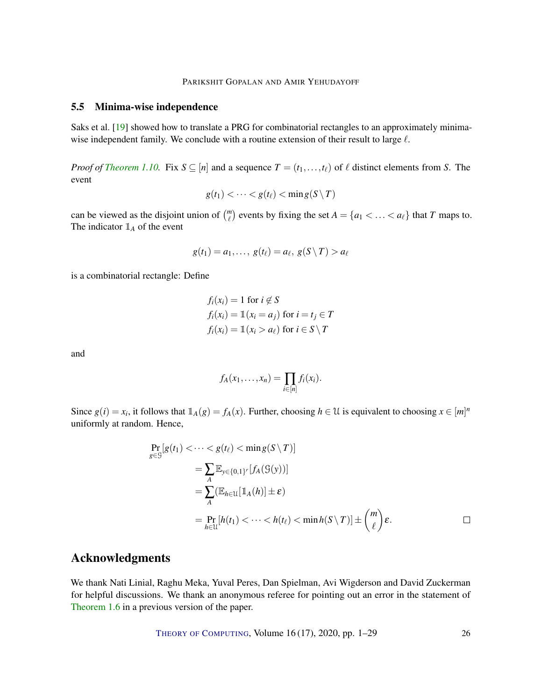PARIKSHIT GOPALAN AND AMIR YEHUDAYOFF

## <span id="page-25-1"></span><span id="page-25-0"></span>5.5 Minima-wise independence

Saks et al. [\[19\]](#page-27-2) showed how to translate a PRG for combinatorial rectangles to an approximately minimawise independent family. We conclude with a routine extension of their result to large  $\ell$ .

*Proof of [Theorem](#page-6-1) [1.10.](#page-6-1)* Fix  $S \subseteq [n]$  and a sequence  $T = (t_1, \ldots, t_\ell)$  of  $\ell$  distinct elements from *S*. The event

$$
g(t_1) < \cdots < g(t_\ell) < \min g(S \setminus T)
$$

can be viewed as the disjoint union of  $\binom{m}{\ell}$  events by fixing the set  $A = \{a_1 < \ldots < a_\ell\}$  that *T* maps to. The indicator  $\mathbb{1}_A$  of the event

$$
g(t_1) = a_1, \ldots, g(t_\ell) = a_\ell, g(S \setminus T) > a_\ell
$$

is a combinatorial rectangle: Define

$$
f_i(x_i) = 1 \text{ for } i \notin S
$$
  
\n
$$
f_i(x_i) = 1(x_i = a_j) \text{ for } i = t_j \in T
$$
  
\n
$$
f_i(x_i) = 1(x_i > a_\ell) \text{ for } i \in S \setminus T
$$

and

$$
f_A(x_1,\ldots,x_n)=\prod_{i\in[n]}f_i(x_i).
$$

Since  $g(i) = x_i$ , it follows that  $\mathbb{1}_A(g) = f_A(x)$ . Further, choosing  $h \in \mathcal{U}$  is equivalent to choosing  $x \in [m]^n$ uniformly at random. Hence,

$$
\Pr_{g \in \mathcal{G}}[g(t_1) < \cdots < g(t_\ell) < \min g(S \setminus T)]
$$
\n
$$
= \sum_{A} \mathbb{E}_{y \in \{0,1\}^r} [f_A(\mathcal{G}(y))]
$$
\n
$$
= \sum_{A} (\mathbb{E}_{h \in \mathcal{U}}[\mathbb{1}_A(h)] \pm \varepsilon)
$$
\n
$$
= \Pr_{h \in \mathcal{U}}[h(t_1) < \cdots < h(t_\ell) < \min h(S \setminus T)] \pm \binom{m}{\ell} \varepsilon.
$$

## Acknowledgments

We thank Nati Linial, Raghu Meka, Yuval Peres, Dan Spielman, Avi Wigderson and David Zuckerman for helpful discussions. We thank an anonymous referee for pointing out an error in the statement of [Theorem](#page-4-1) [1.6](#page-4-1) in a previous version of the paper.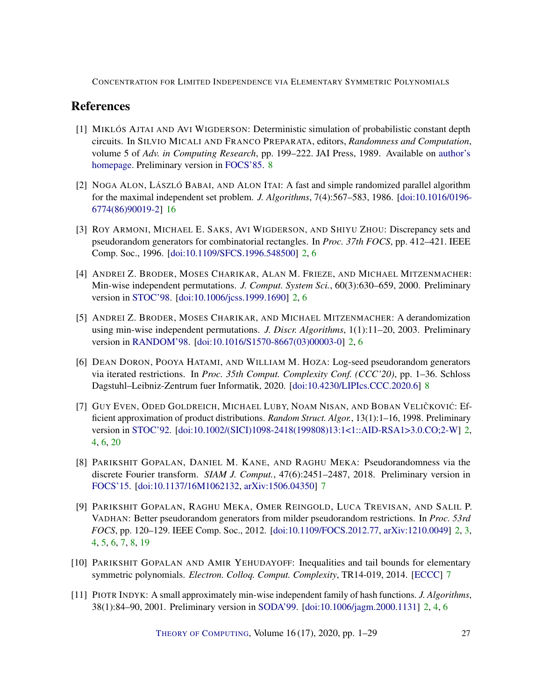# References

- <span id="page-26-8"></span>[1] MIKLÓS AJTAI AND AVI WIGDERSON: Deterministic simulation of probabilistic constant depth circuits. In SILVIO MICALI AND FRANCO PREPARATA, editors, *Randomness and Computation*, volume 5 of *Adv. in Computing Research*, pp. 199–222. JAI Press, 1989. Available on [author's](https://www.math.ias.edu/~avi/PUBLICATIONS/MYPAPERS/AW89/aw89.pdf) [homepage.](https://www.math.ias.edu/~avi/PUBLICATIONS/MYPAPERS/AW89/aw89.pdf) Preliminary version in [FOCS'85.](https://doi.org/10.1109/SFCS.1985.19) [8](#page-7-1)
- <span id="page-26-10"></span>[2] NOGA ALON, LÁSZLÓ BABAI, AND ALON ITAI: A fast and simple randomized parallel algorithm for the maximal independent set problem. *J. Algorithms*, 7(4):567–583, 1986. [\[doi:10.1016/0196-](http://dx.doi.org/10.1016/0196-6774(86)90019-2) [6774\(86\)90019-2\]](http://dx.doi.org/10.1016/0196-6774(86)90019-2) [16](#page-15-5)
- <span id="page-26-2"></span>[3] ROY ARMONI, MICHAEL E. SAKS, AVI WIGDERSON, AND SHIYU ZHOU: Discrepancy sets and pseudorandom generators for combinatorial rectangles. In *Proc. 37th FOCS*, pp. 412–421. IEEE Comp. Soc., 1996. [\[doi:10.1109/SFCS.1996.548500\]](http://dx.doi.org/10.1109/SFCS.1996.548500) [2,](#page-1-2) [6](#page-5-0)
- <span id="page-26-1"></span>[4] ANDREI Z. BRODER, MOSES CHARIKAR, ALAN M. FRIEZE, AND MICHAEL MITZENMACHER: Min-wise independent permutations. *J. Comput. System Sci.*, 60(3):630–659, 2000. Preliminary version in [STOC'98.](https://doi.org/10.1145/276698.276781) [\[doi:10.1006/jcss.1999.1690\]](http://dx.doi.org/10.1006/jcss.1999.1690) [2,](#page-1-2) [6](#page-5-0)
- <span id="page-26-5"></span>[5] ANDREI Z. BRODER, MOSES CHARIKAR, AND MICHAEL MITZENMACHER: A derandomization using min-wise independent permutations. *J. Discr. Algorithms*, 1(1):11–20, 2003. Preliminary version in [RANDOM'98.](https://doi.org/10.1007/3-540-49543-6_2) [\[doi:10.1016/S1570-8667\(03\)00003-0\]](http://dx.doi.org/10.1016/S1570-8667(03)00003-0) [2,](#page-1-2) [6](#page-5-0)
- <span id="page-26-9"></span>[6] DEAN DORON, POOYA HATAMI, AND WILLIAM M. HOZA: Log-seed pseudorandom generators via iterated restrictions. In *Proc. 35th Comput. Complexity Conf. (CCC'20)*, pp. 1–36. Schloss Dagstuhl–Leibniz-Zentrum fuer Informatik, 2020. [\[doi:10.4230/LIPIcs.CCC.2020.6\]](http://dx.doi.org/10.4230/LIPIcs.CCC.2020.6) [8](#page-7-1)
- <span id="page-26-0"></span>[7] GUY EVEN, ODED GOLDREICH, MICHAEL LUBY, NOAM NISAN, AND BOBAN VELIČKOVIĆ: Efficient approximation of product distributions. *Random Struct. Algor.*, 13(1):1–16, 1998. Preliminary version in [STOC'92.](http://dx.doi.org/10.1145/129712.129714) [\[doi:10.1002/\(SICI\)1098-2418\(199808\)13:1<1::AID-RSA1>3.0.CO;2-W\]](http://dx.doi.org/10.1002/(SICI)1098-2418(199808)13:1<1::AID-RSA1>3.0.CO;2-W) [2,](#page-1-2) [4,](#page-3-2) [6,](#page-5-0) [20](#page-19-3)
- <span id="page-26-7"></span>[8] PARIKSHIT GOPALAN, DANIEL M. KANE, AND RAGHU MEKA: Pseudorandomness via the discrete Fourier transform. *SIAM J. Comput.*, 47(6):2451–2487, 2018. Preliminary version in [FOCS'15.](https://doi.org/10.1109/FOCS.2015.60) [\[doi:10.1137/16M1062132,](http://dx.doi.org/10.1137/16M1062132) [arXiv:1506.04350\]](http://arxiv.org/abs/1506.04350) [7](#page-6-2)
- <span id="page-26-3"></span>[9] PARIKSHIT GOPALAN, RAGHU MEKA, OMER REINGOLD, LUCA TREVISAN, AND SALIL P. VADHAN: Better pseudorandom generators from milder pseudorandom restrictions. In *Proc. 53rd FOCS*, pp. 120–129. IEEE Comp. Soc., 2012. [\[doi:10.1109/FOCS.2012.77,](http://dx.doi.org/10.1109/FOCS.2012.77) [arXiv:1210.0049\]](http://arxiv.org/abs/1210.0049) [2,](#page-1-2) [3,](#page-2-2) [4,](#page-3-2) [5,](#page-4-2) [6,](#page-5-0) [7,](#page-6-2) [8,](#page-7-1) [19](#page-18-1)
- <span id="page-26-6"></span>[10] PARIKSHIT GOPALAN AND AMIR YEHUDAYOFF: Inequalities and tail bounds for elementary symmetric polynomials. *Electron. Colloq. Comput. Complexity*, TR14-019, 2014. [\[ECCC\]](https://eccc.weizmann.ac.il/report/2014/019) [7](#page-6-2)
- <span id="page-26-4"></span>[11] PIOTR INDYK: A small approximately min-wise independent family of hash functions. *J. Algorithms*, 38(1):84–90, 2001. Preliminary version in [SODA'99.](https://dl.acm.org/doi/10.5555/314500.314600) [\[doi:10.1006/jagm.2000.1131\]](http://dx.doi.org/10.1006/jagm.2000.1131) [2,](#page-1-2) [4,](#page-3-2) [6](#page-5-0)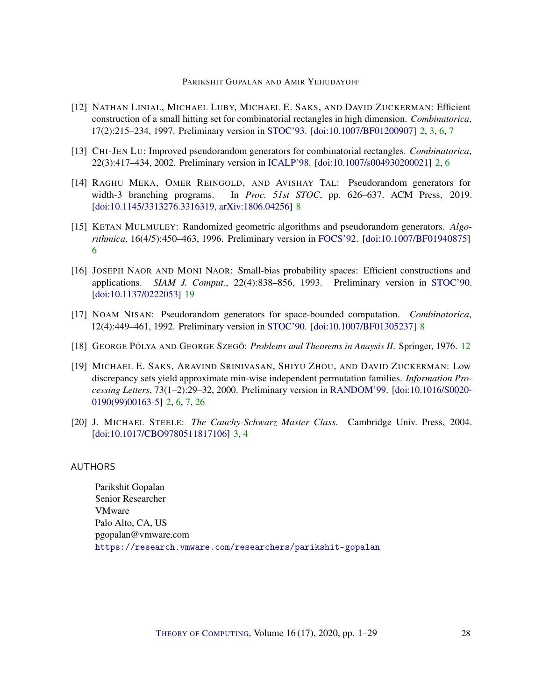## PARIKSHIT GOPALAN AND AMIR YEHUDAYOFF

- <span id="page-27-1"></span>[12] NATHAN LINIAL, MICHAEL LUBY, MICHAEL E. SAKS, AND DAVID ZUCKERMAN: Efficient construction of a small hitting set for combinatorial rectangles in high dimension. *Combinatorica*, 17(2):215–234, 1997. Preliminary version in [STOC'93.](https://doi.org/10.1145/167088.167166) [\[doi:10.1007/BF01200907\]](http://dx.doi.org/10.1007/BF01200907) [2,](#page-1-2) [3,](#page-2-2) [6,](#page-5-0) [7](#page-6-2)
- <span id="page-27-3"></span>[13] CHI-JEN LU: Improved pseudorandom generators for combinatorial rectangles. *Combinatorica*, 22(3):417–434, 2002. Preliminary version in [ICALP'98.](http://dx.doi.org/10.1007/BFb0055056) [\[doi:10.1007/s004930200021\]](http://dx.doi.org/10.1007/s004930200021) [2,](#page-1-2) [6](#page-5-0)
- <span id="page-27-7"></span>[14] RAGHU MEKA, OMER REINGOLD, AND AVISHAY TAL: Pseudorandom generators for width-3 branching programs. In *Proc. 51st STOC*, pp. 626–637. ACM Press, 2019. [\[doi:10.1145/3313276.3316319,](http://dx.doi.org/10.1145/3313276.3316319) [arXiv:1806.04256\]](http://arxiv.org/abs/1806.04256) [8](#page-7-1)
- <span id="page-27-5"></span>[15] KETAN MULMULEY: Randomized geometric algorithms and pseudorandom generators. *Algorithmica*, 16(4/5):450–463, 1996. Preliminary version in [FOCS'92.](https://doi.org/10.1109/SFCS.1992.267815) [\[doi:10.1007/BF01940875\]](http://dx.doi.org/10.1007/BF01940875) [6](#page-5-0)
- <span id="page-27-9"></span>[16] JOSEPH NAOR AND MONI NAOR: Small-bias probability spaces: Efficient constructions and applications. *SIAM J. Comput.*, 22(4):838–856, 1993. Preliminary version in [STOC'90.](https://dl.acm.org/citation.cfm?id=100244) [\[doi:10.1137/0222053\]](http://dx.doi.org/10.1137/0222053) [19](#page-18-1)
- <span id="page-27-6"></span>[17] NOAM NISAN: Pseudorandom generators for space-bounded computation. *Combinatorica*, 12(4):449–461, 1992. Preliminary version in [STOC'90.](http://dx.doi.org/10.1145/100216.100242) [\[doi:10.1007/BF01305237\]](http://dx.doi.org/10.1007/BF01305237) [8](#page-7-1)
- <span id="page-27-8"></span>[18] GEORGE PÓLYA AND GEORGE SZEGO˝ : *Problems and Theorems in Anaysis II*. Springer, 1976. [12](#page-11-1)
- <span id="page-27-2"></span>[19] MICHAEL E. SAKS, ARAVIND SRINIVASAN, SHIYU ZHOU, AND DAVID ZUCKERMAN: Low discrepancy sets yield approximate min-wise independent permutation families. *Information Processing Letters*, 73(1–2):29–32, 2000. Preliminary version in [RANDOM'99.](https://doi.org/10.1007/978-3-540-48413-4_2) [\[doi:10.1016/S0020-](http://dx.doi.org/10.1016/S0020-0190(99)00163-5) [0190\(99\)00163-5\]](http://dx.doi.org/10.1016/S0020-0190(99)00163-5) [2,](#page-1-2) [6,](#page-5-0) [7,](#page-6-2) [26](#page-25-1)
- <span id="page-27-4"></span>[20] J. MICHAEL STEELE: *The Cauchy-Schwarz Master Class*. Cambridge Univ. Press, 2004. [\[doi:10.1017/CBO9780511817106\]](http://dx.doi.org/10.1017/CBO9780511817106) [3,](#page-2-2) [4](#page-3-2)

## <span id="page-27-0"></span>AUTHORS

Parikshit Gopalan Senior Researcher VMware Palo Alto, CA, US pgopalan@vmware.com <https://research.vmware.com/researchers/parikshit-gopalan>